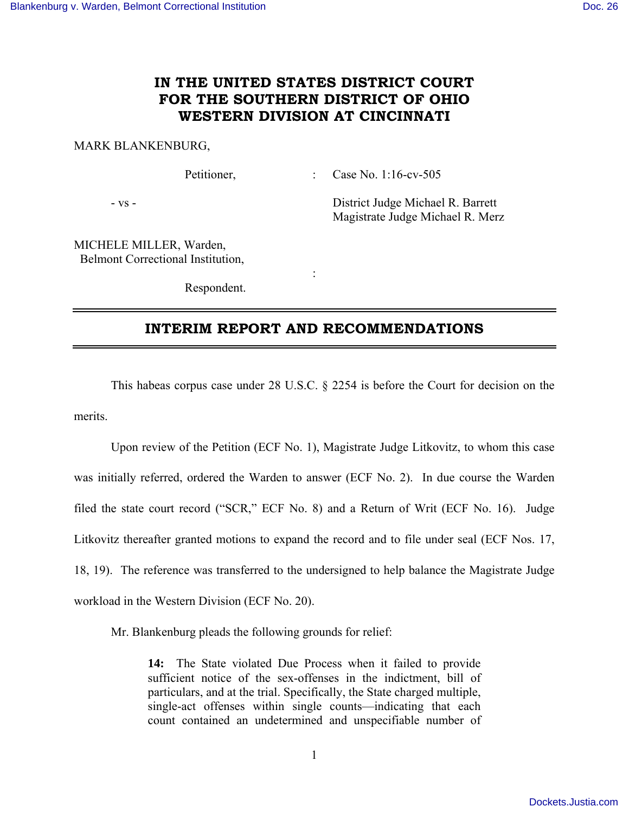# **IN THE UNITED STATES DISTRICT COURT FOR THE SOUTHERN DISTRICT OF OHIO WESTERN DIVISION AT CINCINNATI**

#### MARK BLANKENBURG,

Petitioner, : Case No. 1:16-cv-505

- vs - District Judge Michael R. Barrett Magistrate Judge Michael R. Merz

MICHELE MILLER, Warden, Belmont Correctional Institution,

Respondent.

**Service State State State** 

## **INTERIM REPORT AND RECOMMENDATIONS**

 This habeas corpus case under 28 U.S.C. § 2254 is before the Court for decision on the merits.

 Upon review of the Petition (ECF No. 1), Magistrate Judge Litkovitz, to whom this case was initially referred, ordered the Warden to answer (ECF No. 2). In due course the Warden filed the state court record ("SCR," ECF No. 8) and a Return of Writ (ECF No. 16). Judge Litkovitz thereafter granted motions to expand the record and to file under seal (ECF Nos. 17, 18, 19). The reference was transferred to the undersigned to help balance the Magistrate Judge workload in the Western Division (ECF No. 20).

Mr. Blankenburg pleads the following grounds for relief:

**14:** The State violated Due Process when it failed to provide sufficient notice of the sex-offenses in the indictment, bill of particulars, and at the trial. Specifically, the State charged multiple, single-act offenses within single counts—indicating that each count contained an undetermined and unspecifiable number of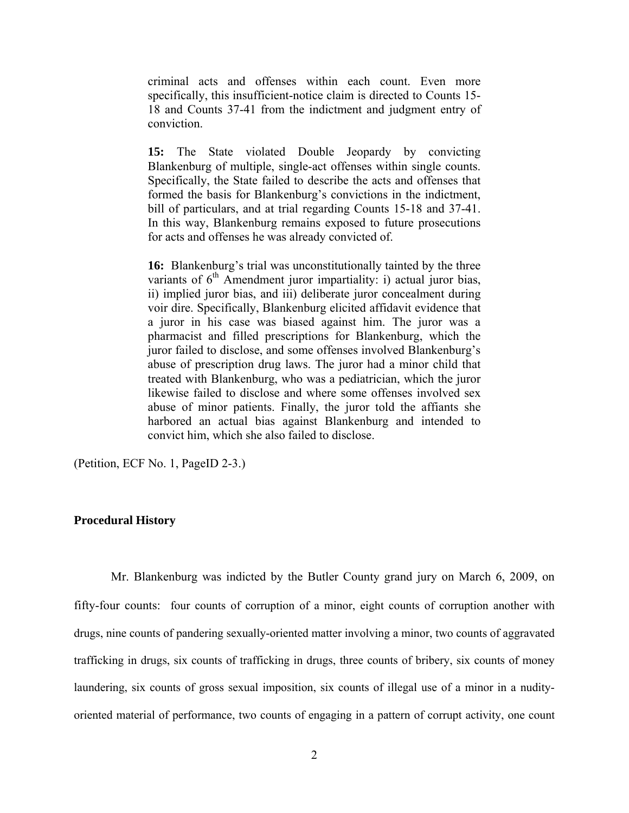criminal acts and offenses within each count. Even more specifically, this insufficient-notice claim is directed to Counts 15- 18 and Counts 37-41 from the indictment and judgment entry of conviction.

**15:** The State violated Double Jeopardy by convicting Blankenburg of multiple, single-act offenses within single counts. Specifically, the State failed to describe the acts and offenses that formed the basis for Blankenburg's convictions in the indictment, bill of particulars, and at trial regarding Counts 15-18 and 37-41. In this way, Blankenburg remains exposed to future prosecutions for acts and offenses he was already convicted of.

**16:** Blankenburg's trial was unconstitutionally tainted by the three variants of  $6<sup>th</sup>$  Amendment juror impartiality: i) actual juror bias, ii) implied juror bias, and iii) deliberate juror concealment during voir dire. Specifically, Blankenburg elicited affidavit evidence that a juror in his case was biased against him. The juror was a pharmacist and filled prescriptions for Blankenburg, which the juror failed to disclose, and some offenses involved Blankenburg's abuse of prescription drug laws. The juror had a minor child that treated with Blankenburg, who was a pediatrician, which the juror likewise failed to disclose and where some offenses involved sex abuse of minor patients. Finally, the juror told the affiants she harbored an actual bias against Blankenburg and intended to convict him, which she also failed to disclose.

(Petition, ECF No. 1, PageID 2-3.)

#### **Procedural History**

 Mr. Blankenburg was indicted by the Butler County grand jury on March 6, 2009, on fifty-four counts: four counts of corruption of a minor, eight counts of corruption another with drugs, nine counts of pandering sexually-oriented matter involving a minor, two counts of aggravated trafficking in drugs, six counts of trafficking in drugs, three counts of bribery, six counts of money laundering, six counts of gross sexual imposition, six counts of illegal use of a minor in a nudityoriented material of performance, two counts of engaging in a pattern of corrupt activity, one count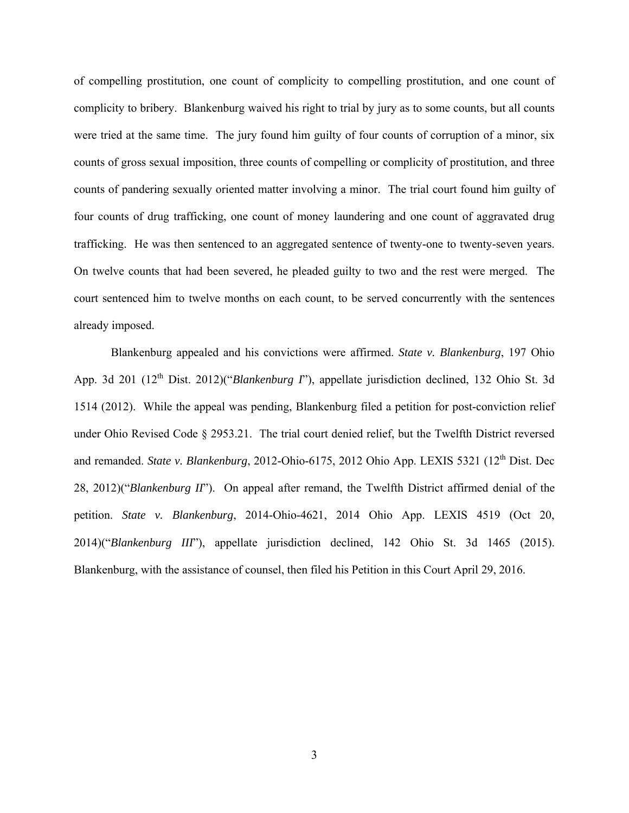of compelling prostitution, one count of complicity to compelling prostitution, and one count of complicity to bribery. Blankenburg waived his right to trial by jury as to some counts, but all counts were tried at the same time. The jury found him guilty of four counts of corruption of a minor, six counts of gross sexual imposition, three counts of compelling or complicity of prostitution, and three counts of pandering sexually oriented matter involving a minor. The trial court found him guilty of four counts of drug trafficking, one count of money laundering and one count of aggravated drug trafficking. He was then sentenced to an aggregated sentence of twenty-one to twenty-seven years. On twelve counts that had been severed, he pleaded guilty to two and the rest were merged. The court sentenced him to twelve months on each count, to be served concurrently with the sentences already imposed.

 Blankenburg appealed and his convictions were affirmed. *State v. Blankenburg*, 197 Ohio App. 3d 201 (12<sup>th</sup> Dist. 2012)("*Blankenburg I*"), appellate jurisdiction declined, 132 Ohio St. 3d 1514 (2012). While the appeal was pending, Blankenburg filed a petition for post-conviction relief under Ohio Revised Code § 2953.21. The trial court denied relief, but the Twelfth District reversed and remanded. *State v. Blankenburg*, 2012-Ohio-6175, 2012 Ohio App. LEXIS 5321 (12<sup>th</sup> Dist. Dec 28, 2012)("*Blankenburg II*"). On appeal after remand, the Twelfth District affirmed denial of the petition. *State v. Blankenburg*, 2014-Ohio-4621, 2014 Ohio App. LEXIS 4519 (Oct 20, 2014)("*Blankenburg III*"), appellate jurisdiction declined, 142 Ohio St. 3d 1465 (2015). Blankenburg, with the assistance of counsel, then filed his Petition in this Court April 29, 2016.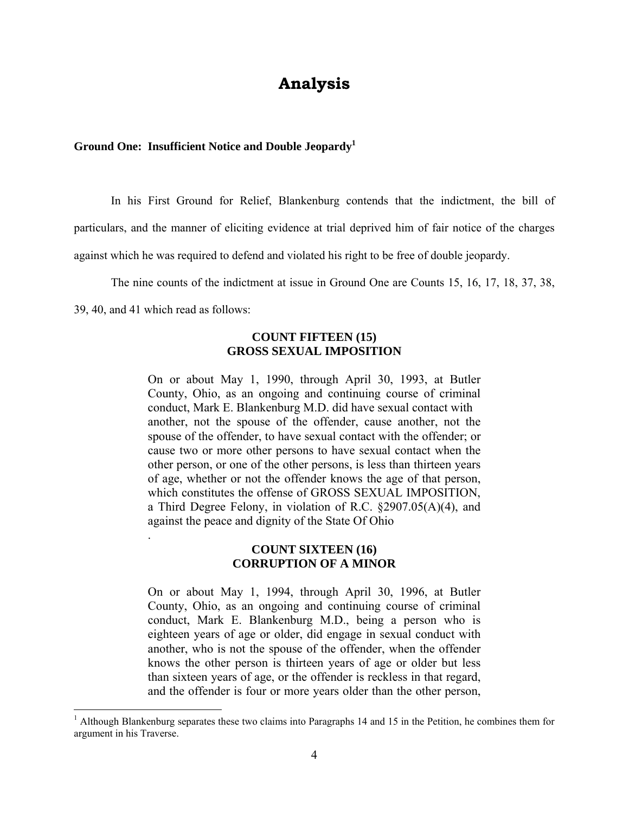# **Analysis**

## **Ground One: Insufficient Notice and Double Jeopardy<sup>1</sup>**

In his First Ground for Relief, Blankenburg contends that the indictment, the bill of

particulars, and the manner of eliciting evidence at trial deprived him of fair notice of the charges

against which he was required to defend and violated his right to be free of double jeopardy.

The nine counts of the indictment at issue in Ground One are Counts 15, 16, 17, 18, 37, 38,

39, 40, and 41 which read as follows:

.

#### **COUNT FIFTEEN (15) GROSS SEXUAL IMPOSITION**

On or about May 1, 1990, through April 30, 1993, at Butler County, Ohio, as an ongoing and continuing course of criminal conduct, Mark E. Blankenburg M.D. did have sexual contact with another, not the spouse of the offender, cause another, not the spouse of the offender, to have sexual contact with the offender; or cause two or more other persons to have sexual contact when the other person, or one of the other persons, is less than thirteen years of age, whether or not the offender knows the age of that person, which constitutes the offense of GROSS SEXUAL IMPOSITION, a Third Degree Felony, in violation of R.C. §2907.05(A)(4), and against the peace and dignity of the State Of Ohio

#### **COUNT SIXTEEN (16) CORRUPTION OF A MINOR**

On or about May 1, 1994, through April 30, 1996, at Butler County, Ohio, as an ongoing and continuing course of criminal conduct, Mark E. Blankenburg M.D., being a person who is eighteen years of age or older, did engage in sexual conduct with another, who is not the spouse of the offender, when the offender knows the other person is thirteen years of age or older but less than sixteen years of age, or the offender is reckless in that regard, and the offender is four or more years older than the other person,

<sup>&</sup>lt;sup>1</sup> Although Blankenburg separates these two claims into Paragraphs 14 and 15 in the Petition, he combines them for argument in his Traverse.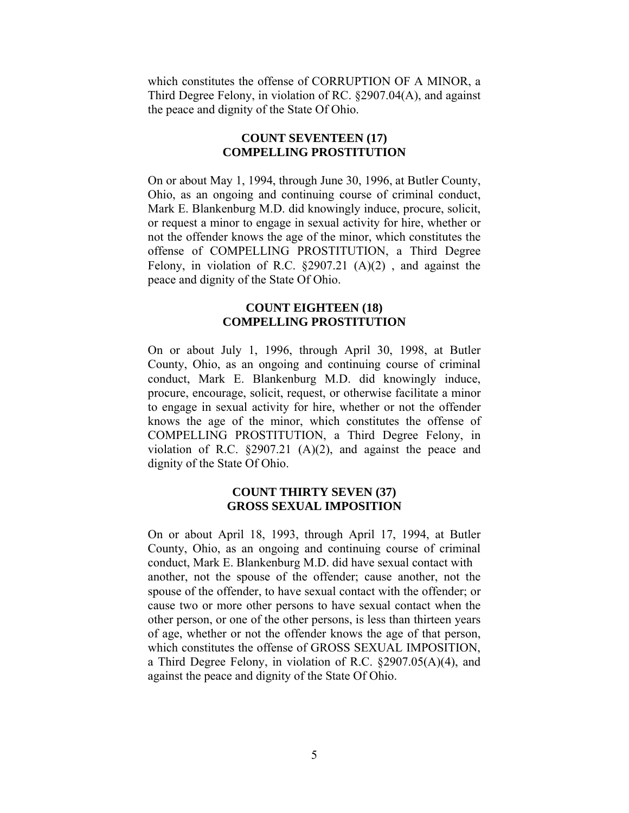which constitutes the offense of CORRUPTION OF A MINOR, a Third Degree Felony, in violation of RC. §2907.04(A), and against the peace and dignity of the State Of Ohio.

## **COUNT SEVENTEEN (17) COMPELLING PROSTITUTION**

On or about May 1, 1994, through June 30, 1996, at Butler County, Ohio, as an ongoing and continuing course of criminal conduct, Mark E. Blankenburg M.D. did knowingly induce, procure, solicit, or request a minor to engage in sexual activity for hire, whether or not the offender knows the age of the minor, which constitutes the offense of COMPELLING PROSTITUTION, a Third Degree Felony, in violation of R.C. §2907.21 (A)(2) , and against the peace and dignity of the State Of Ohio.

#### **COUNT EIGHTEEN (18) COMPELLING PROSTITUTION**

On or about July 1, 1996, through April 30, 1998, at Butler County, Ohio, as an ongoing and continuing course of criminal conduct, Mark E. Blankenburg M.D. did knowingly induce, procure, encourage, solicit, request, or otherwise facilitate a minor to engage in sexual activity for hire, whether or not the offender knows the age of the minor, which constitutes the offense of COMPELLING PROSTITUTION, a Third Degree Felony, in violation of R.C. §2907.21 (A)(2), and against the peace and dignity of the State Of Ohio.

## **COUNT THIRTY SEVEN (37) GROSS SEXUAL IMPOSITION**

On or about April 18, 1993, through April 17, 1994, at Butler County, Ohio, as an ongoing and continuing course of criminal conduct, Mark E. Blankenburg M.D. did have sexual contact with another, not the spouse of the offender; cause another, not the spouse of the offender, to have sexual contact with the offender; or cause two or more other persons to have sexual contact when the other person, or one of the other persons, is less than thirteen years of age, whether or not the offender knows the age of that person, which constitutes the offense of GROSS SEXUAL IMPOSITION, a Third Degree Felony, in violation of R.C. §2907.05(A)(4), and against the peace and dignity of the State Of Ohio.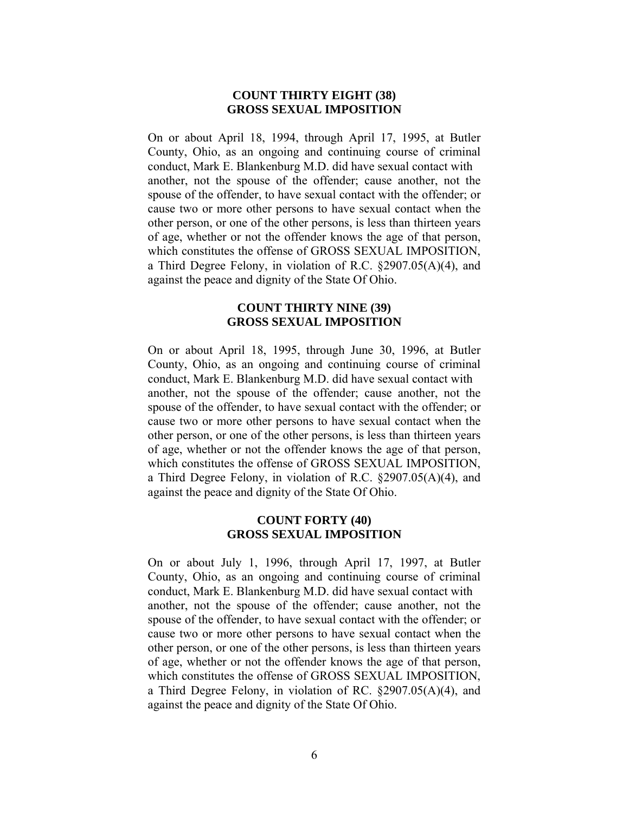#### **COUNT THIRTY EIGHT (38) GROSS SEXUAL IMPOSITION**

On or about April 18, 1994, through April 17, 1995, at Butler County, Ohio, as an ongoing and continuing course of criminal conduct, Mark E. Blankenburg M.D. did have sexual contact with another, not the spouse of the offender; cause another, not the spouse of the offender, to have sexual contact with the offender; or cause two or more other persons to have sexual contact when the other person, or one of the other persons, is less than thirteen years of age, whether or not the offender knows the age of that person, which constitutes the offense of GROSS SEXUAL IMPOSITION, a Third Degree Felony, in violation of R.C. §2907.05(A)(4), and against the peace and dignity of the State Of Ohio.

## **COUNT THIRTY NINE (39) GROSS SEXUAL IMPOSITION**

On or about April 18, 1995, through June 30, 1996, at Butler County, Ohio, as an ongoing and continuing course of criminal conduct, Mark E. Blankenburg M.D. did have sexual contact with another, not the spouse of the offender; cause another, not the spouse of the offender, to have sexual contact with the offender; or cause two or more other persons to have sexual contact when the other person, or one of the other persons, is less than thirteen years of age, whether or not the offender knows the age of that person, which constitutes the offense of GROSS SEXUAL IMPOSITION, a Third Degree Felony, in violation of R.C. §2907.05(A)(4), and against the peace and dignity of the State Of Ohio.

## **COUNT FORTY (40) GROSS SEXUAL IMPOSITION**

On or about July 1, 1996, through April 17, 1997, at Butler County, Ohio, as an ongoing and continuing course of criminal conduct, Mark E. Blankenburg M.D. did have sexual contact with another, not the spouse of the offender; cause another, not the spouse of the offender, to have sexual contact with the offender; or cause two or more other persons to have sexual contact when the other person, or one of the other persons, is less than thirteen years of age, whether or not the offender knows the age of that person, which constitutes the offense of GROSS SEXUAL IMPOSITION, a Third Degree Felony, in violation of RC. §2907.05(A)(4), and against the peace and dignity of the State Of Ohio.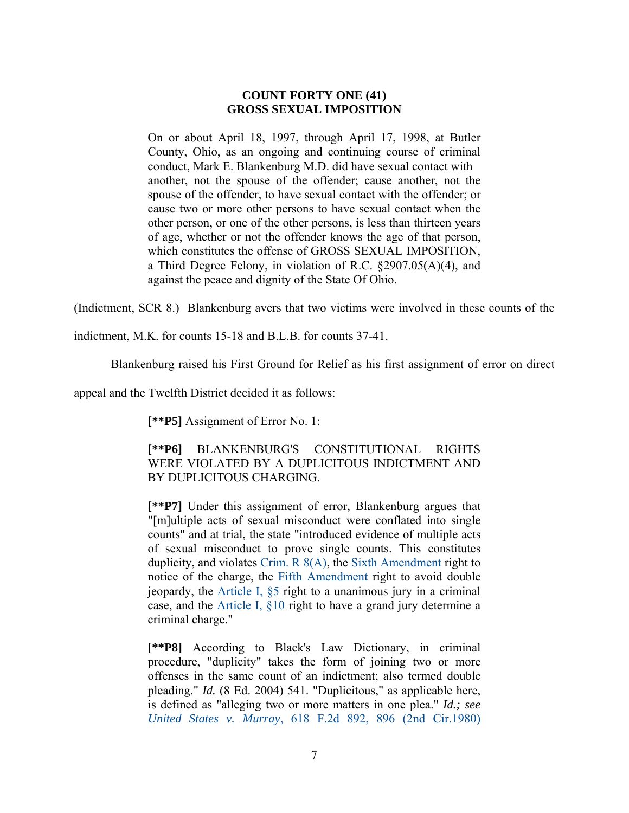## **COUNT FORTY ONE (41) GROSS SEXUAL IMPOSITION**

On or about April 18, 1997, through April 17, 1998, at Butler County, Ohio, as an ongoing and continuing course of criminal conduct, Mark E. Blankenburg M.D. did have sexual contact with another, not the spouse of the offender; cause another, not the spouse of the offender, to have sexual contact with the offender; or cause two or more other persons to have sexual contact when the other person, or one of the other persons, is less than thirteen years of age, whether or not the offender knows the age of that person, which constitutes the offense of GROSS SEXUAL IMPOSITION, a Third Degree Felony, in violation of R.C. §2907.05(A)(4), and against the peace and dignity of the State Of Ohio.

(Indictment, SCR 8.) Blankenburg avers that two victims were involved in these counts of the

indictment, M.K. for counts 15-18 and B.L.B. for counts 37-41.

Blankenburg raised his First Ground for Relief as his first assignment of error on direct

appeal and the Twelfth District decided it as follows:

**[\*\*P5]** Assignment of Error No. 1:

## **[\*\*P6]** BLANKENBURG'S CONSTITUTIONAL RIGHTS WERE VIOLATED BY A DUPLICITOUS INDICTMENT AND BY DUPLICITOUS CHARGING.

**[\*\*P7]** Under this assignment of error, Blankenburg argues that "[m]ultiple acts of sexual misconduct were conflated into single counts" and at trial, the state "introduced evidence of multiple acts of sexual misconduct to prove single counts. This constitutes duplicity, and violates Crim. R 8(A), the Sixth Amendment right to notice of the charge, the Fifth Amendment right to avoid double jeopardy, the Article I, §5 right to a unanimous jury in a criminal case, and the Article I, §10 right to have a grand jury determine a criminal charge."

**[\*\*P8]** According to Black's Law Dictionary, in criminal procedure, "duplicity" takes the form of joining two or more offenses in the same count of an indictment; also termed double pleading." *Id.* (8 Ed. 2004) 541. "Duplicitous," as applicable here, is defined as "alleging two or more matters in one plea." *Id.; see United States v. Murray*, 618 F.2d 892, 896 (2nd Cir.1980)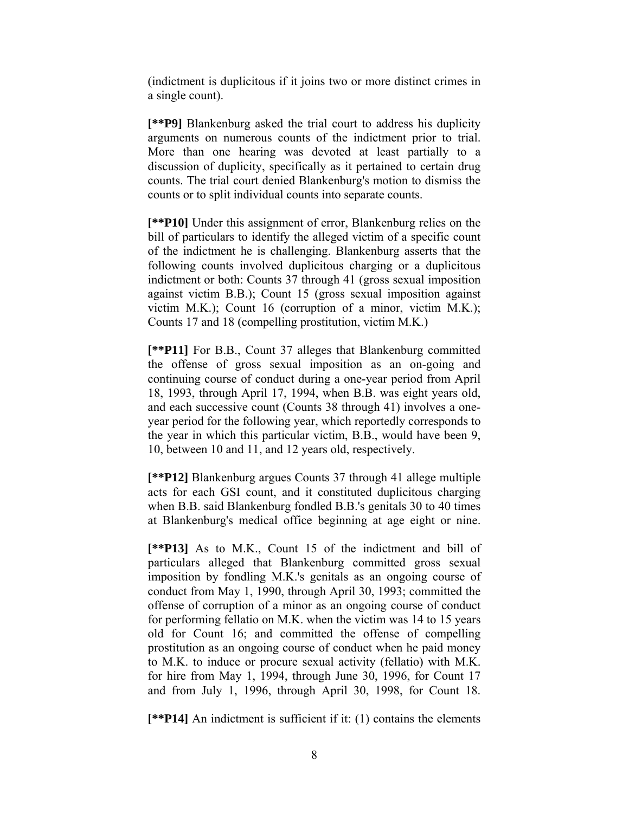(indictment is duplicitous if it joins two or more distinct crimes in a single count).

**[\*\*P9]** Blankenburg asked the trial court to address his duplicity arguments on numerous counts of the indictment prior to trial. More than one hearing was devoted at least partially to a discussion of duplicity, specifically as it pertained to certain drug counts. The trial court denied Blankenburg's motion to dismiss the counts or to split individual counts into separate counts.

**[\*\*P10]** Under this assignment of error, Blankenburg relies on the bill of particulars to identify the alleged victim of a specific count of the indictment he is challenging. Blankenburg asserts that the following counts involved duplicitous charging or a duplicitous indictment or both: Counts 37 through 41 (gross sexual imposition against victim B.B.); Count 15 (gross sexual imposition against victim M.K.); Count 16 (corruption of a minor, victim M.K.); Counts 17 and 18 (compelling prostitution, victim M.K.)

**[\*\*P11]** For B.B., Count 37 alleges that Blankenburg committed the offense of gross sexual imposition as an on-going and continuing course of conduct during a one-year period from April 18, 1993, through April 17, 1994, when B.B. was eight years old, and each successive count (Counts 38 through 41) involves a oneyear period for the following year, which reportedly corresponds to the year in which this particular victim, B.B., would have been 9, 10, between 10 and 11, and 12 years old, respectively.

**[\*\*P12]** Blankenburg argues Counts 37 through 41 allege multiple acts for each GSI count, and it constituted duplicitous charging when B.B. said Blankenburg fondled B.B.'s genitals 30 to 40 times at Blankenburg's medical office beginning at age eight or nine.

**[\*\*P13]** As to M.K., Count 15 of the indictment and bill of particulars alleged that Blankenburg committed gross sexual imposition by fondling M.K.'s genitals as an ongoing course of conduct from May 1, 1990, through April 30, 1993; committed the offense of corruption of a minor as an ongoing course of conduct for performing fellatio on M.K. when the victim was 14 to 15 years old for Count 16; and committed the offense of compelling prostitution as an ongoing course of conduct when he paid money to M.K. to induce or procure sexual activity (fellatio) with M.K. for hire from May 1, 1994, through June 30, 1996, for Count 17 and from July 1, 1996, through April 30, 1998, for Count 18.

**[\*\*P14]** An indictment is sufficient if it: (1) contains the elements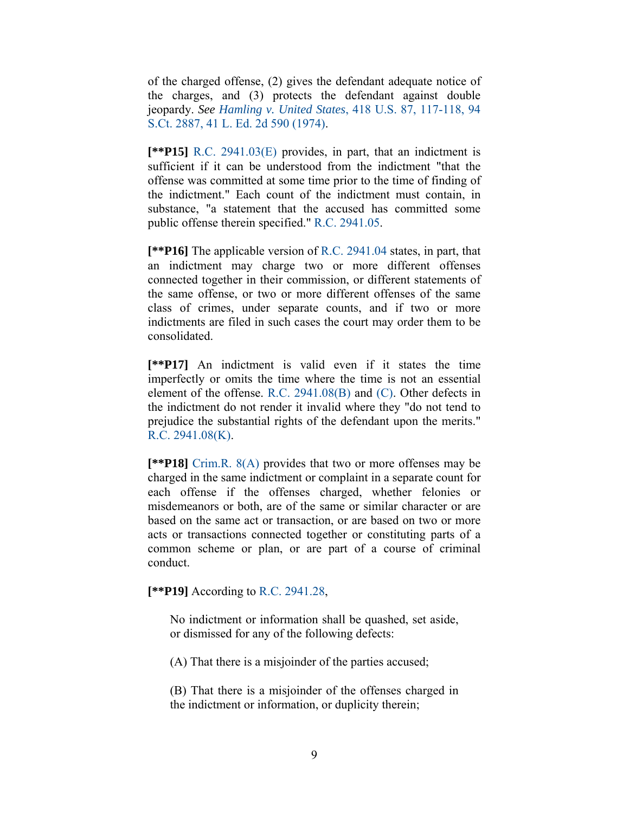of the charged offense, (2) gives the defendant adequate notice of the charges, and (3) protects the defendant against double jeopardy. *See Hamling v. United States*, 418 U.S. 87, 117-118, 94 S.Ct. 2887, 41 L. Ed. 2d 590 (1974).

**[\*\*P15]** R.C. 2941.03(E) provides, in part, that an indictment is sufficient if it can be understood from the indictment "that the offense was committed at some time prior to the time of finding of the indictment." Each count of the indictment must contain, in substance, "a statement that the accused has committed some public offense therein specified." R.C. 2941.05.

**[\*\*P16]** The applicable version of R.C. 2941.04 states, in part, that an indictment may charge two or more different offenses connected together in their commission, or different statements of the same offense, or two or more different offenses of the same class of crimes, under separate counts, and if two or more indictments are filed in such cases the court may order them to be consolidated.

**[\*\*P17]** An indictment is valid even if it states the time imperfectly or omits the time where the time is not an essential element of the offense. R.C. 2941.08(B) and (C). Other defects in the indictment do not render it invalid where they "do not tend to prejudice the substantial rights of the defendant upon the merits." R.C. 2941.08(K).

**[\*\*P18]** Crim.R. 8(A) provides that two or more offenses may be charged in the same indictment or complaint in a separate count for each offense if the offenses charged, whether felonies or misdemeanors or both, are of the same or similar character or are based on the same act or transaction, or are based on two or more acts or transactions connected together or constituting parts of a common scheme or plan, or are part of a course of criminal conduct.

**[\*\*P19]** According to R.C. 2941.28,

No indictment or information shall be quashed, set aside, or dismissed for any of the following defects:

(A) That there is a misjoinder of the parties accused;

(B) That there is a misjoinder of the offenses charged in the indictment or information, or duplicity therein;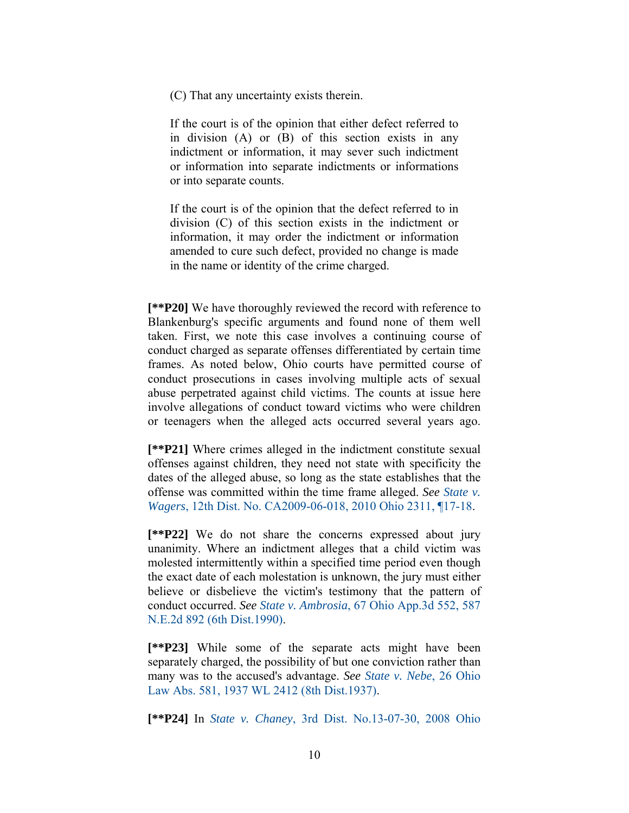(C) That any uncertainty exists therein.

If the court is of the opinion that either defect referred to in division (A) or (B) of this section exists in any indictment or information, it may sever such indictment or information into separate indictments or informations or into separate counts.

If the court is of the opinion that the defect referred to in division (C) of this section exists in the indictment or information, it may order the indictment or information amended to cure such defect, provided no change is made in the name or identity of the crime charged.

**[\*\*P20]** We have thoroughly reviewed the record with reference to Blankenburg's specific arguments and found none of them well taken. First, we note this case involves a continuing course of conduct charged as separate offenses differentiated by certain time frames. As noted below, Ohio courts have permitted course of conduct prosecutions in cases involving multiple acts of sexual abuse perpetrated against child victims. The counts at issue here involve allegations of conduct toward victims who were children or teenagers when the alleged acts occurred several years ago.

**[\*\*P21]** Where crimes alleged in the indictment constitute sexual offenses against children, they need not state with specificity the dates of the alleged abuse, so long as the state establishes that the offense was committed within the time frame alleged. *See State v. Wagers*, 12th Dist. No. CA2009-06-018, 2010 Ohio 2311, ¶17-18.

**[\*\*P22]** We do not share the concerns expressed about jury unanimity. Where an indictment alleges that a child victim was molested intermittently within a specified time period even though the exact date of each molestation is unknown, the jury must either believe or disbelieve the victim's testimony that the pattern of conduct occurred. *See State v. Ambrosia*, 67 Ohio App.3d 552, 587 N.E.2d 892 (6th Dist.1990).

**[\*\*P23]** While some of the separate acts might have been separately charged, the possibility of but one conviction rather than many was to the accused's advantage. *See State v. Nebe*, 26 Ohio Law Abs. 581, 1937 WL 2412 (8th Dist.1937).

**[\*\*P24]** In *State v. Chaney*, 3rd Dist. No.13-07-30, 2008 Ohio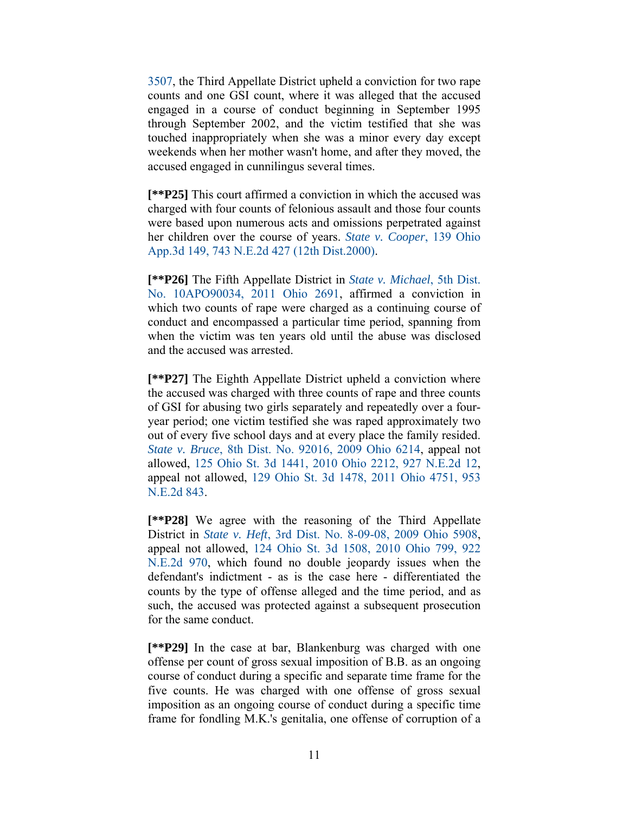3507, the Third Appellate District upheld a conviction for two rape counts and one GSI count, where it was alleged that the accused engaged in a course of conduct beginning in September 1995 through September 2002, and the victim testified that she was touched inappropriately when she was a minor every day except weekends when her mother wasn't home, and after they moved, the accused engaged in cunnilingus several times.

**[\*\*P25]** This court affirmed a conviction in which the accused was charged with four counts of felonious assault and those four counts were based upon numerous acts and omissions perpetrated against her children over the course of years. *State v. Cooper*, 139 Ohio App.3d 149, 743 N.E.2d 427 (12th Dist.2000).

**[\*\*P26]** The Fifth Appellate District in *State v. Michael*, 5th Dist. No. 10APO90034, 2011 Ohio 2691, affirmed a conviction in which two counts of rape were charged as a continuing course of conduct and encompassed a particular time period, spanning from when the victim was ten years old until the abuse was disclosed and the accused was arrested.

**[\*\*P27]** The Eighth Appellate District upheld a conviction where the accused was charged with three counts of rape and three counts of GSI for abusing two girls separately and repeatedly over a fouryear period; one victim testified she was raped approximately two out of every five school days and at every place the family resided. *State v. Bruce*, 8th Dist. No. 92016, 2009 Ohio 6214, appeal not allowed, 125 Ohio St. 3d 1441, 2010 Ohio 2212, 927 N.E.2d 12, appeal not allowed, 129 Ohio St. 3d 1478, 2011 Ohio 4751, 953 N.E.2d 843.

**[\*\*P28]** We agree with the reasoning of the Third Appellate District in *State v. Heft*, 3rd Dist. No. 8-09-08, 2009 Ohio 5908, appeal not allowed, 124 Ohio St. 3d 1508, 2010 Ohio 799, 922 N.E.2d 970, which found no double jeopardy issues when the defendant's indictment - as is the case here - differentiated the counts by the type of offense alleged and the time period, and as such, the accused was protected against a subsequent prosecution for the same conduct.

**[\*\*P29]** In the case at bar, Blankenburg was charged with one offense per count of gross sexual imposition of B.B. as an ongoing course of conduct during a specific and separate time frame for the five counts. He was charged with one offense of gross sexual imposition as an ongoing course of conduct during a specific time frame for fondling M.K.'s genitalia, one offense of corruption of a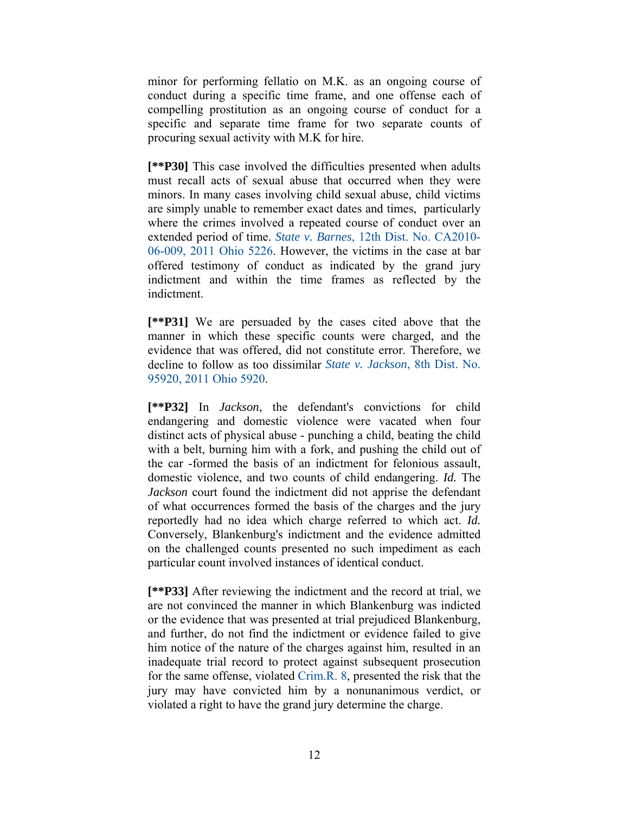minor for performing fellatio on M.K. as an ongoing course of conduct during a specific time frame, and one offense each of compelling prostitution as an ongoing course of conduct for a specific and separate time frame for two separate counts of procuring sexual activity with M.K for hire.

**[\*\*P30]** This case involved the difficulties presented when adults must recall acts of sexual abuse that occurred when they were minors. In many cases involving child sexual abuse, child victims are simply unable to remember exact dates and times, particularly where the crimes involved a repeated course of conduct over an extended period of time. *State v. Barnes*, 12th Dist. No. CA2010- 06-009, 2011 Ohio 5226. However, the victims in the case at bar offered testimony of conduct as indicated by the grand jury indictment and within the time frames as reflected by the indictment.

**[\*\*P31]** We are persuaded by the cases cited above that the manner in which these specific counts were charged, and the evidence that was offered, did not constitute error. Therefore, we decline to follow as too dissimilar *State v. Jackson*, 8th Dist. No. 95920, 2011 Ohio 5920.

**[\*\*P32]** In *Jackson*, the defendant's convictions for child endangering and domestic violence were vacated when four distinct acts of physical abuse - punching a child, beating the child with a belt, burning him with a fork, and pushing the child out of the car -formed the basis of an indictment for felonious assault, domestic violence, and two counts of child endangering. *Id.* The *Jackson* court found the indictment did not apprise the defendant of what occurrences formed the basis of the charges and the jury reportedly had no idea which charge referred to which act. *Id.* Conversely, Blankenburg's indictment and the evidence admitted on the challenged counts presented no such impediment as each particular count involved instances of identical conduct.

**[\*\*P33]** After reviewing the indictment and the record at trial, we are not convinced the manner in which Blankenburg was indicted or the evidence that was presented at trial prejudiced Blankenburg, and further, do not find the indictment or evidence failed to give him notice of the nature of the charges against him, resulted in an inadequate trial record to protect against subsequent prosecution for the same offense, violated Crim.R. 8, presented the risk that the jury may have convicted him by a nonunanimous verdict, or violated a right to have the grand jury determine the charge.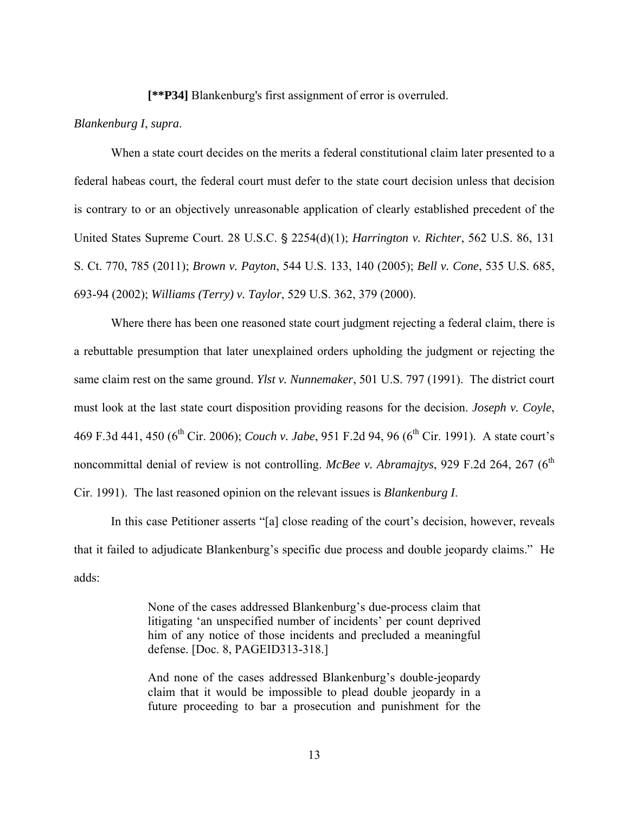**[\*\*P34]** Blankenburg's first assignment of error is overruled.

#### *Blankenburg I*, *supra*.

 When a state court decides on the merits a federal constitutional claim later presented to a federal habeas court, the federal court must defer to the state court decision unless that decision is contrary to or an objectively unreasonable application of clearly established precedent of the United States Supreme Court. 28 U.S.C. § 2254(d)(1); *Harrington v. Richter*, 562 U.S. 86, 131 S. Ct. 770, 785 (2011); *Brown v. Payton*, 544 U.S. 133, 140 (2005); *Bell v. Cone*, 535 U.S. 685, 693-94 (2002); *Williams (Terry) v. Taylor*, 529 U.S. 362, 379 (2000).

 Where there has been one reasoned state court judgment rejecting a federal claim, there is a rebuttable presumption that later unexplained orders upholding the judgment or rejecting the same claim rest on the same ground. *Ylst v. Nunnemaker*, 501 U.S. 797 (1991). The district court must look at the last state court disposition providing reasons for the decision. *Joseph v. Coyle*, 469 F.3d 441, 450 (6<sup>th</sup> Cir. 2006); *Couch v. Jabe*, 951 F.2d 94, 96 (6<sup>th</sup> Cir. 1991). A state court's noncommittal denial of review is not controlling. *McBee v. Abramajtys*, 929 F.2d 264, 267 (6<sup>th</sup>) Cir. 1991). The last reasoned opinion on the relevant issues is *Blankenburg I*.

 In this case Petitioner asserts "[a] close reading of the court's decision, however, reveals that it failed to adjudicate Blankenburg's specific due process and double jeopardy claims." He adds:

> None of the cases addressed Blankenburg's due-process claim that litigating 'an unspecified number of incidents' per count deprived him of any notice of those incidents and precluded a meaningful defense. [Doc. 8, PAGEID313-318.]

> And none of the cases addressed Blankenburg's double-jeopardy claim that it would be impossible to plead double jeopardy in a future proceeding to bar a prosecution and punishment for the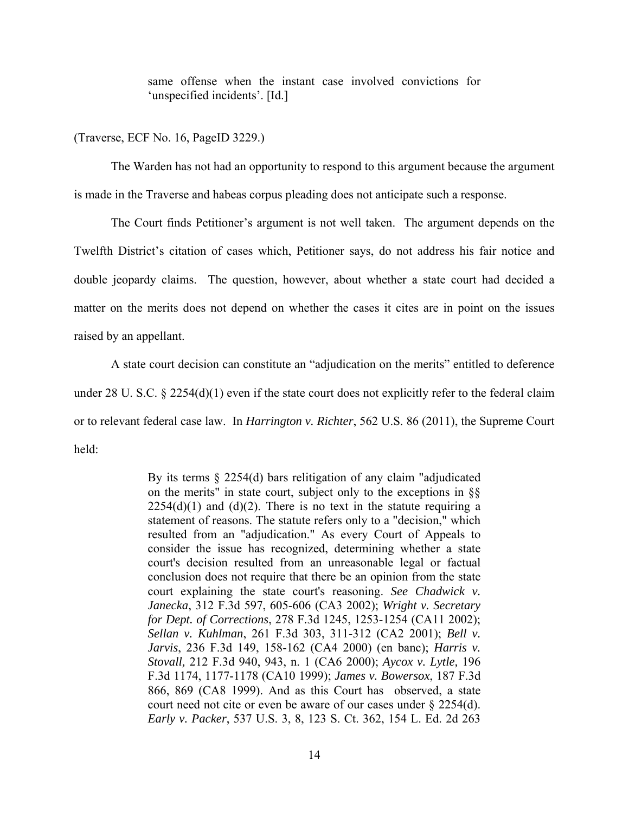same offense when the instant case involved convictions for 'unspecified incidents'. [Id.]

(Traverse, ECF No. 16, PageID 3229.)

 The Warden has not had an opportunity to respond to this argument because the argument is made in the Traverse and habeas corpus pleading does not anticipate such a response.

 The Court finds Petitioner's argument is not well taken. The argument depends on the Twelfth District's citation of cases which, Petitioner says, do not address his fair notice and double jeopardy claims. The question, however, about whether a state court had decided a matter on the merits does not depend on whether the cases it cites are in point on the issues raised by an appellant.

 A state court decision can constitute an "adjudication on the merits" entitled to deference under 28 U. S.C. § 2254(d)(1) even if the state court does not explicitly refer to the federal claim or to relevant federal case law. In *Harrington v. Richter*, 562 U.S. 86 (2011), the Supreme Court held:

> By its terms § 2254(d) bars relitigation of any claim "adjudicated on the merits" in state court, subject only to the exceptions in §§  $2254(d)(1)$  and  $(d)(2)$ . There is no text in the statute requiring a statement of reasons. The statute refers only to a "decision," which resulted from an "adjudication." As every Court of Appeals to consider the issue has recognized, determining whether a state court's decision resulted from an unreasonable legal or factual conclusion does not require that there be an opinion from the state court explaining the state court's reasoning. *See Chadwick v. Janecka*, 312 F.3d 597, 605-606 (CA3 2002); *Wright v. Secretary for Dept. of Corrections*, 278 F.3d 1245, 1253-1254 (CA11 2002); *Sellan v. Kuhlman*, 261 F.3d 303, 311-312 (CA2 2001); *Bell v. Jarvis*, 236 F.3d 149, 158-162 (CA4 2000) (en banc); *Harris v. Stovall,* 212 F.3d 940, 943, n. 1 (CA6 2000); *Aycox v. Lytle,* 196 F.3d 1174, 1177-1178 (CA10 1999); *James v. Bowersox*, 187 F.3d 866, 869 (CA8 1999). And as this Court has observed, a state court need not cite or even be aware of our cases under § 2254(d). *Early v. Packer*, 537 U.S. 3, 8, 123 S. Ct. 362, 154 L. Ed. 2d 263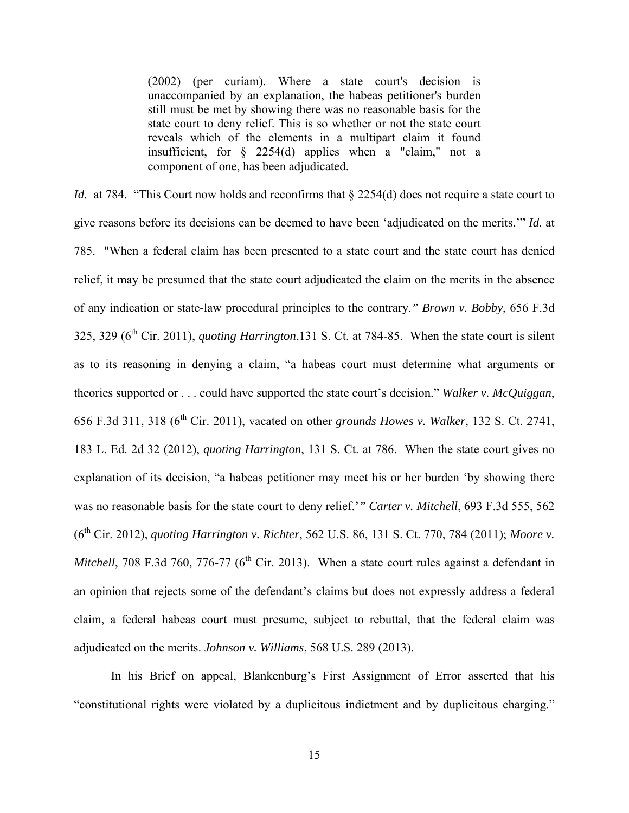(2002) (per curiam). Where a state court's decision is unaccompanied by an explanation, the habeas petitioner's burden still must be met by showing there was no reasonable basis for the state court to deny relief. This is so whether or not the state court reveals which of the elements in a multipart claim it found insufficient, for § 2254(d) applies when a "claim," not a component of one, has been adjudicated.

*Id.* at 784. "This Court now holds and reconfirms that  $\S$  2254(d) does not require a state court to give reasons before its decisions can be deemed to have been 'adjudicated on the merits.'" *Id.* at 785. "When a federal claim has been presented to a state court and the state court has denied relief, it may be presumed that the state court adjudicated the claim on the merits in the absence of any indication or state-law procedural principles to the contrary.*" Brown v. Bobby*, 656 F.3d 325, 329 (6th Cir. 2011), *quoting Harrington*,131 S. Ct. at 784-85. When the state court is silent as to its reasoning in denying a claim, "a habeas court must determine what arguments or theories supported or . . . could have supported the state court's decision." *Walker v. McQuiggan*, 656 F.3d 311, 318 (6th Cir. 2011), vacated on other *grounds Howes v. Walker*, 132 S. Ct. 2741, 183 L. Ed. 2d 32 (2012), *quoting Harrington*, 131 S. Ct. at 786. When the state court gives no explanation of its decision, "a habeas petitioner may meet his or her burden 'by showing there was no reasonable basis for the state court to deny relief.'*" Carter v. Mitchell*, 693 F.3d 555, 562 (6th Cir. 2012), *quoting Harrington v. Richter*, 562 U.S. 86, 131 S. Ct. 770, 784 (2011); *Moore v. Mitchell*, 708 F.3d 760, 776-77 ( $6<sup>th</sup>$  Cir. 2013). When a state court rules against a defendant in an opinion that rejects some of the defendant's claims but does not expressly address a federal claim, a federal habeas court must presume, subject to rebuttal, that the federal claim was adjudicated on the merits. *Johnson v. Williams*, 568 U.S. 289 (2013).

 In his Brief on appeal, Blankenburg's First Assignment of Error asserted that his "constitutional rights were violated by a duplicitous indictment and by duplicitous charging."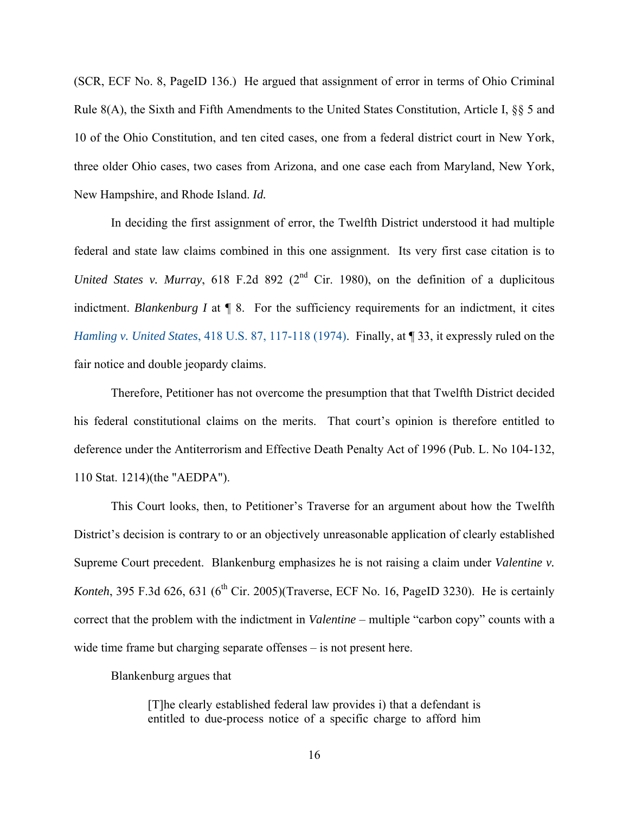(SCR, ECF No. 8, PageID 136.) He argued that assignment of error in terms of Ohio Criminal Rule 8(A), the Sixth and Fifth Amendments to the United States Constitution, Article I, §§ 5 and 10 of the Ohio Constitution, and ten cited cases, one from a federal district court in New York, three older Ohio cases, two cases from Arizona, and one case each from Maryland, New York, New Hampshire, and Rhode Island. *Id.* 

 In deciding the first assignment of error, the Twelfth District understood it had multiple federal and state law claims combined in this one assignment. Its very first case citation is to *United States v. Murray*, 618 F.2d 892 ( $2<sup>nd</sup>$  Cir. 1980), on the definition of a duplicitous indictment. *Blankenburg I* at ¶ 8. For the sufficiency requirements for an indictment, it cites *Hamling v. United States*, 418 U.S. 87, 117-118 (1974). Finally, at **[33, it expressly ruled on the** fair notice and double jeopardy claims.

 Therefore, Petitioner has not overcome the presumption that that Twelfth District decided his federal constitutional claims on the merits. That court's opinion is therefore entitled to deference under the Antiterrorism and Effective Death Penalty Act of 1996 (Pub. L. No 104-132, 110 Stat. 1214)(the "AEDPA").

 This Court looks, then, to Petitioner's Traverse for an argument about how the Twelfth District's decision is contrary to or an objectively unreasonable application of clearly established Supreme Court precedent. Blankenburg emphasizes he is not raising a claim under *Valentine v. Konteh*, 395 F.3d 626, 631 ( $6<sup>th</sup>$  Cir. 2005)(Traverse, ECF No. 16, PageID 3230). He is certainly correct that the problem with the indictment in *Valentine* – multiple "carbon copy" counts with a wide time frame but charging separate offenses – is not present here.

Blankenburg argues that

[T]he clearly established federal law provides i) that a defendant is entitled to due-process notice of a specific charge to afford him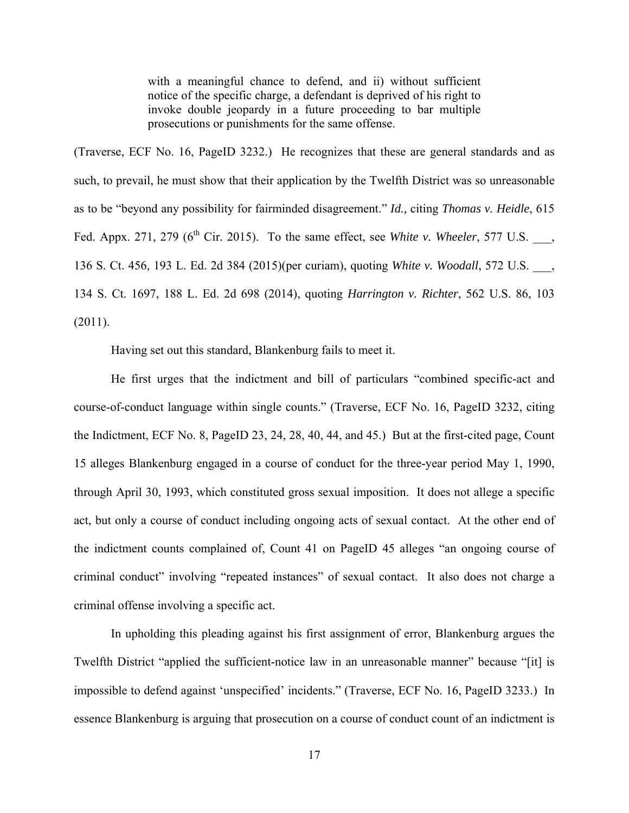with a meaningful chance to defend, and ii) without sufficient notice of the specific charge, a defendant is deprived of his right to invoke double jeopardy in a future proceeding to bar multiple prosecutions or punishments for the same offense.

(Traverse, ECF No. 16, PageID 3232.) He recognizes that these are general standards and as such, to prevail, he must show that their application by the Twelfth District was so unreasonable as to be "beyond any possibility for fairminded disagreement." *Id.,* citing *Thomas v. Heidle*, 615 Fed. Appx. 271, 279 ( $6<sup>th</sup>$  Cir. 2015). To the same effect, see *White v. Wheeler*, 577 U.S. 136 S. Ct. 456, 193 L. Ed. 2d 384 (2015)(per curiam), quoting *White v. Woodall*, 572 U.S. \_\_\_, 134 S. Ct. 1697, 188 L. Ed. 2d 698 (2014), quoting *Harrington v. Richter*, 562 U.S. 86, 103 (2011).

Having set out this standard, Blankenburg fails to meet it.

He first urges that the indictment and bill of particulars "combined specific-act and course-of-conduct language within single counts." (Traverse, ECF No. 16, PageID 3232, citing the Indictment, ECF No. 8, PageID 23, 24, 28, 40, 44, and 45.) But at the first-cited page, Count 15 alleges Blankenburg engaged in a course of conduct for the three-year period May 1, 1990, through April 30, 1993, which constituted gross sexual imposition. It does not allege a specific act, but only a course of conduct including ongoing acts of sexual contact. At the other end of the indictment counts complained of, Count 41 on PageID 45 alleges "an ongoing course of criminal conduct" involving "repeated instances" of sexual contact. It also does not charge a criminal offense involving a specific act.

In upholding this pleading against his first assignment of error, Blankenburg argues the Twelfth District "applied the sufficient-notice law in an unreasonable manner" because "[it] is impossible to defend against 'unspecified' incidents." (Traverse, ECF No. 16, PageID 3233.) In essence Blankenburg is arguing that prosecution on a course of conduct count of an indictment is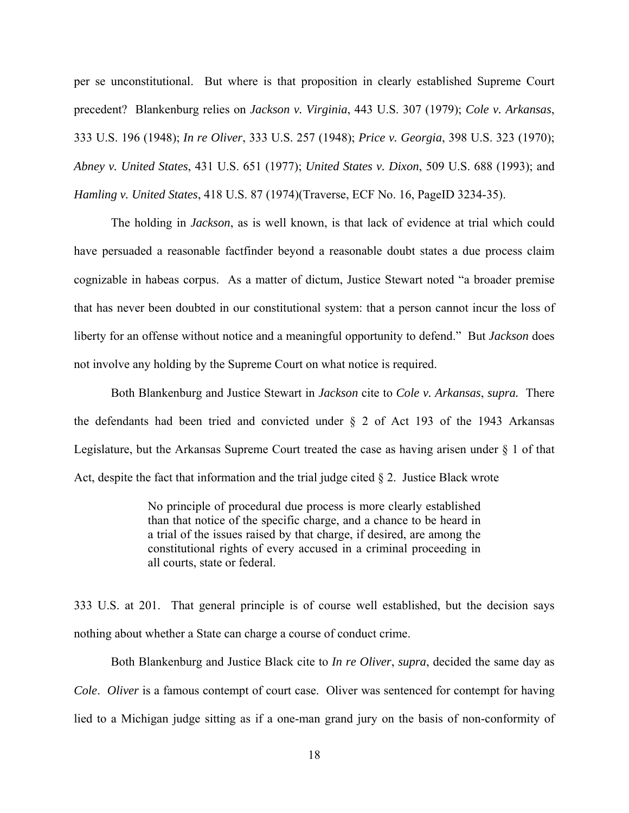per se unconstitutional. But where is that proposition in clearly established Supreme Court precedent? Blankenburg relies on *Jackson v. Virginia*, 443 U.S. 307 (1979); *Cole v. Arkansas*, 333 U.S. 196 (1948); *In re Oliver*, 333 U.S. 257 (1948); *Price v. Georgia*, 398 U.S. 323 (1970); *Abney v. United States*, 431 U.S. 651 (1977); *United States v. Dixon*, 509 U.S. 688 (1993); and *Hamling v. United States*, 418 U.S. 87 (1974)(Traverse, ECF No. 16, PageID 3234-35).

The holding in *Jackson*, as is well known, is that lack of evidence at trial which could have persuaded a reasonable factfinder beyond a reasonable doubt states a due process claim cognizable in habeas corpus. As a matter of dictum, Justice Stewart noted "a broader premise that has never been doubted in our constitutional system: that a person cannot incur the loss of liberty for an offense without notice and a meaningful opportunity to defend." But *Jackson* does not involve any holding by the Supreme Court on what notice is required.

Both Blankenburg and Justice Stewart in *Jackson* cite to *Cole v. Arkansas*, *supra.* There the defendants had been tried and convicted under § 2 of Act 193 of the 1943 Arkansas Legislature, but the Arkansas Supreme Court treated the case as having arisen under § 1 of that Act, despite the fact that information and the trial judge cited § 2. Justice Black wrote

> No principle of procedural due process is more clearly established than that notice of the specific charge, and a chance to be heard in a trial of the issues raised by that charge, if desired, are among the constitutional rights of every accused in a criminal proceeding in all courts, state or federal.

333 U.S. at 201. That general principle is of course well established, but the decision says nothing about whether a State can charge a course of conduct crime.

 Both Blankenburg and Justice Black cite to *In re Oliver*, *supra*, decided the same day as *Cole*. *Oliver* is a famous contempt of court case. Oliver was sentenced for contempt for having lied to a Michigan judge sitting as if a one-man grand jury on the basis of non-conformity of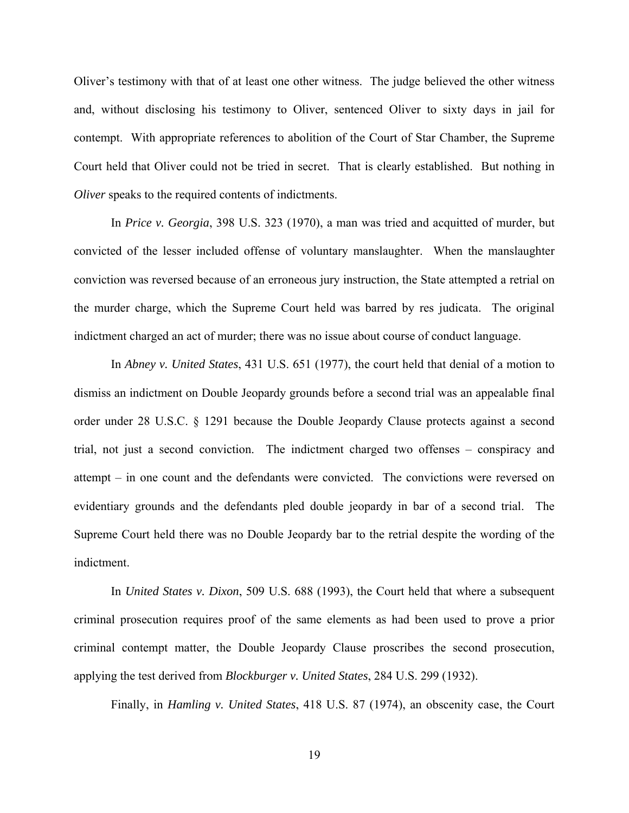Oliver's testimony with that of at least one other witness. The judge believed the other witness and, without disclosing his testimony to Oliver, sentenced Oliver to sixty days in jail for contempt. With appropriate references to abolition of the Court of Star Chamber, the Supreme Court held that Oliver could not be tried in secret. That is clearly established. But nothing in *Oliver* speaks to the required contents of indictments.

 In *Price v. Georgia*, 398 U.S. 323 (1970), a man was tried and acquitted of murder, but convicted of the lesser included offense of voluntary manslaughter. When the manslaughter conviction was reversed because of an erroneous jury instruction, the State attempted a retrial on the murder charge, which the Supreme Court held was barred by res judicata. The original indictment charged an act of murder; there was no issue about course of conduct language.

 In *Abney v. United States*, 431 U.S. 651 (1977), the court held that denial of a motion to dismiss an indictment on Double Jeopardy grounds before a second trial was an appealable final order under 28 U.S.C. § 1291 because the Double Jeopardy Clause protects against a second trial, not just a second conviction. The indictment charged two offenses – conspiracy and attempt – in one count and the defendants were convicted. The convictions were reversed on evidentiary grounds and the defendants pled double jeopardy in bar of a second trial. The Supreme Court held there was no Double Jeopardy bar to the retrial despite the wording of the indictment.

 In *United States v. Dixon*, 509 U.S. 688 (1993), the Court held that where a subsequent criminal prosecution requires proof of the same elements as had been used to prove a prior criminal contempt matter, the Double Jeopardy Clause proscribes the second prosecution, applying the test derived from *Blockburger v. United States*, 284 U.S. 299 (1932).

Finally, in *Hamling v. United States*, 418 U.S. 87 (1974), an obscenity case, the Court

19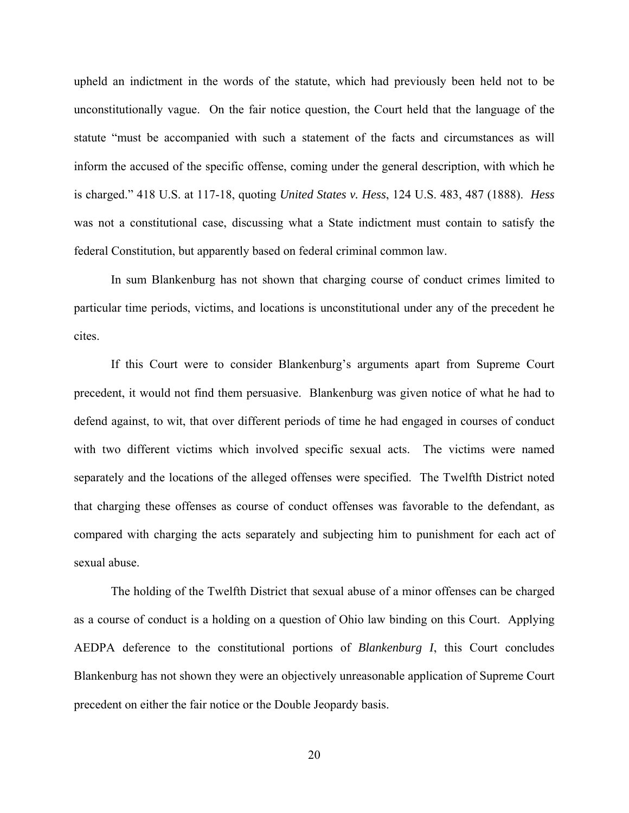upheld an indictment in the words of the statute, which had previously been held not to be unconstitutionally vague. On the fair notice question, the Court held that the language of the statute "must be accompanied with such a statement of the facts and circumstances as will inform the accused of the specific offense, coming under the general description, with which he is charged." 418 U.S. at 117-18, quoting *United States v. Hess*, 124 U.S. 483, 487 (1888). *Hess* was not a constitutional case, discussing what a State indictment must contain to satisfy the federal Constitution, but apparently based on federal criminal common law.

 In sum Blankenburg has not shown that charging course of conduct crimes limited to particular time periods, victims, and locations is unconstitutional under any of the precedent he cites.

 If this Court were to consider Blankenburg's arguments apart from Supreme Court precedent, it would not find them persuasive. Blankenburg was given notice of what he had to defend against, to wit, that over different periods of time he had engaged in courses of conduct with two different victims which involved specific sexual acts. The victims were named separately and the locations of the alleged offenses were specified. The Twelfth District noted that charging these offenses as course of conduct offenses was favorable to the defendant, as compared with charging the acts separately and subjecting him to punishment for each act of sexual abuse.

 The holding of the Twelfth District that sexual abuse of a minor offenses can be charged as a course of conduct is a holding on a question of Ohio law binding on this Court. Applying AEDPA deference to the constitutional portions of *Blankenburg I*, this Court concludes Blankenburg has not shown they were an objectively unreasonable application of Supreme Court precedent on either the fair notice or the Double Jeopardy basis.

20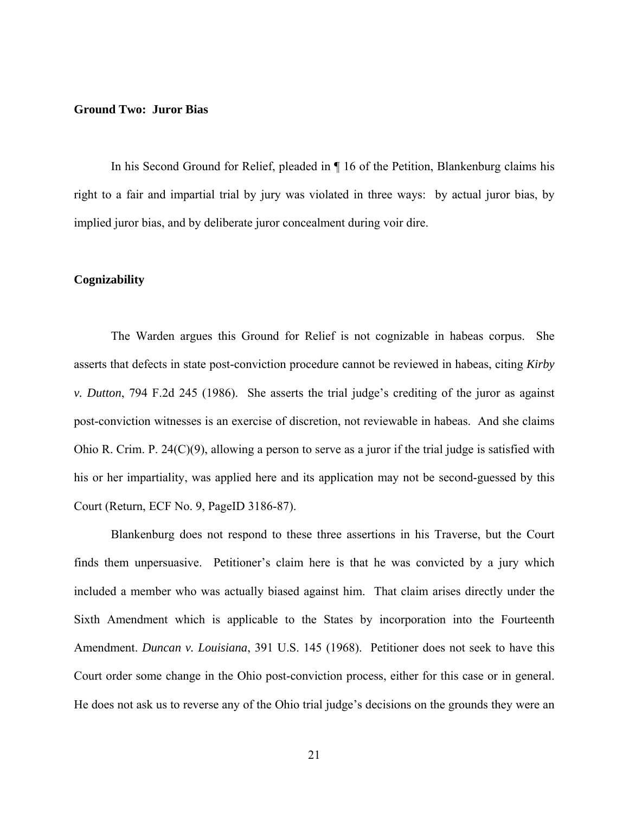#### **Ground Two: Juror Bias**

In his Second Ground for Relief, pleaded in ¶ 16 of the Petition, Blankenburg claims his right to a fair and impartial trial by jury was violated in three ways: by actual juror bias, by implied juror bias, and by deliberate juror concealment during voir dire.

#### **Cognizability**

 The Warden argues this Ground for Relief is not cognizable in habeas corpus. She asserts that defects in state post-conviction procedure cannot be reviewed in habeas, citing *Kirby v. Dutton*, 794 F.2d 245 (1986). She asserts the trial judge's crediting of the juror as against post-conviction witnesses is an exercise of discretion, not reviewable in habeas. And she claims Ohio R. Crim. P. 24 $(C)(9)$ , allowing a person to serve as a juror if the trial judge is satisfied with his or her impartiality, was applied here and its application may not be second-guessed by this Court (Return, ECF No. 9, PageID 3186-87).

 Blankenburg does not respond to these three assertions in his Traverse, but the Court finds them unpersuasive. Petitioner's claim here is that he was convicted by a jury which included a member who was actually biased against him. That claim arises directly under the Sixth Amendment which is applicable to the States by incorporation into the Fourteenth Amendment. *Duncan v. Louisiana*, 391 U.S. 145 (1968). Petitioner does not seek to have this Court order some change in the Ohio post-conviction process, either for this case or in general. He does not ask us to reverse any of the Ohio trial judge's decisions on the grounds they were an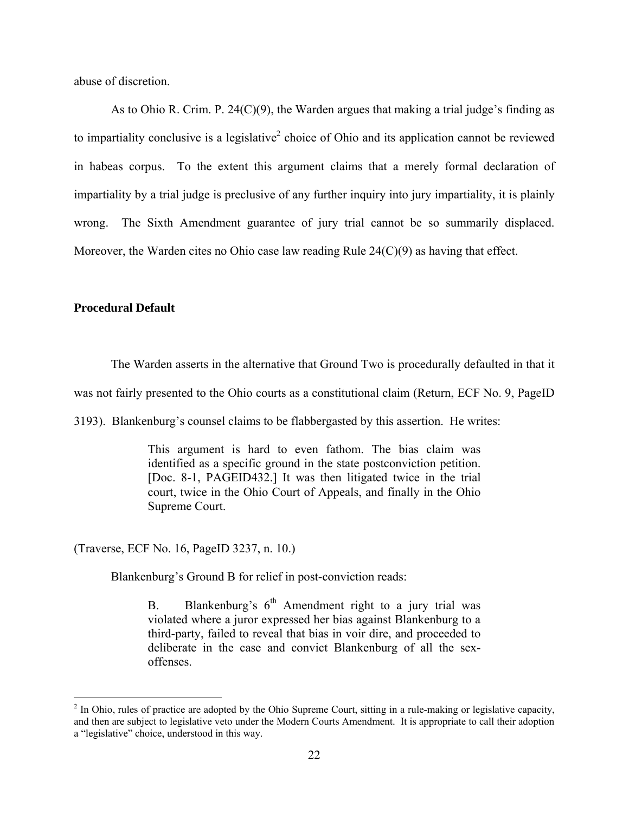abuse of discretion.

 As to Ohio R. Crim. P. 24(C)(9), the Warden argues that making a trial judge's finding as to impartiality conclusive is a legislative<sup>2</sup> choice of Ohio and its application cannot be reviewed in habeas corpus. To the extent this argument claims that a merely formal declaration of impartiality by a trial judge is preclusive of any further inquiry into jury impartiality, it is plainly wrong. The Sixth Amendment guarantee of jury trial cannot be so summarily displaced. Moreover, the Warden cites no Ohio case law reading Rule  $24(C)(9)$  as having that effect.

## **Procedural Default**

 $\overline{a}$ 

The Warden asserts in the alternative that Ground Two is procedurally defaulted in that it

was not fairly presented to the Ohio courts as a constitutional claim (Return, ECF No. 9, PageID)

3193). Blankenburg's counsel claims to be flabbergasted by this assertion. He writes:

This argument is hard to even fathom. The bias claim was identified as a specific ground in the state postconviction petition. [Doc. 8-1, PAGEID432.] It was then litigated twice in the trial court, twice in the Ohio Court of Appeals, and finally in the Ohio Supreme Court.

(Traverse, ECF No. 16, PageID 3237, n. 10.)

Blankenburg's Ground B for relief in post-conviction reads:

B. Blankenburg's  $6<sup>th</sup>$  Amendment right to a jury trial was violated where a juror expressed her bias against Blankenburg to a third-party, failed to reveal that bias in voir dire, and proceeded to deliberate in the case and convict Blankenburg of all the sexoffenses.

 $2 \text{ In Ohio, rules of practice are adopted by the Ohio Supreme Court, sitting in a rule-making or legislative capacity,$ and then are subject to legislative veto under the Modern Courts Amendment. It is appropriate to call their adoption a "legislative" choice, understood in this way.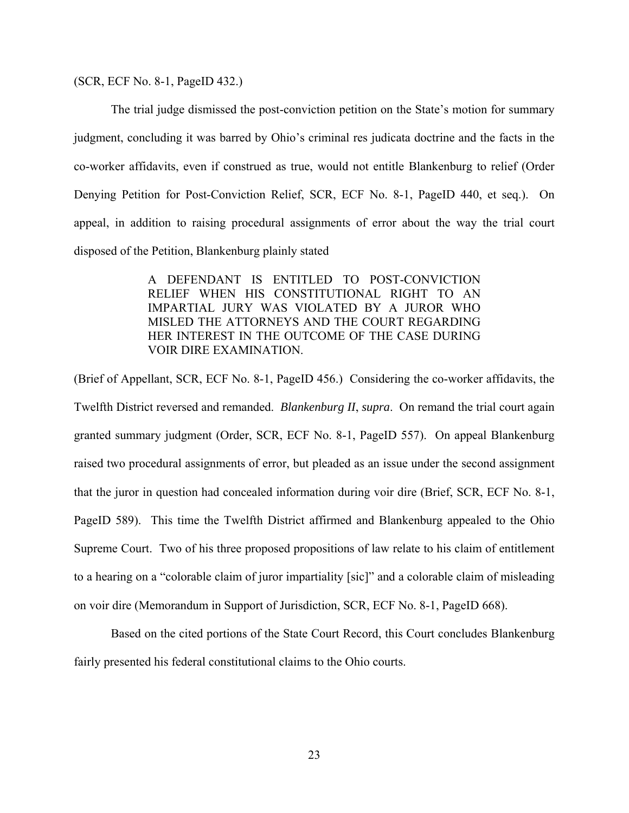(SCR, ECF No. 8-1, PageID 432.)

 The trial judge dismissed the post-conviction petition on the State's motion for summary judgment, concluding it was barred by Ohio's criminal res judicata doctrine and the facts in the co-worker affidavits, even if construed as true, would not entitle Blankenburg to relief (Order Denying Petition for Post-Conviction Relief, SCR, ECF No. 8-1, PageID 440, et seq.). On appeal, in addition to raising procedural assignments of error about the way the trial court disposed of the Petition, Blankenburg plainly stated

> A DEFENDANT IS ENTITLED TO POST-CONVICTION RELIEF WHEN HIS CONSTITUTIONAL RIGHT TO AN IMPARTIAL JURY WAS VIOLATED BY A JUROR WHO MISLED THE ATTORNEYS AND THE COURT REGARDING HER INTEREST IN THE OUTCOME OF THE CASE DURING VOIR DIRE EXAMINATION.

(Brief of Appellant, SCR, ECF No. 8-1, PageID 456.) Considering the co-worker affidavits, the Twelfth District reversed and remanded. *Blankenburg II*, *supra*. On remand the trial court again granted summary judgment (Order, SCR, ECF No. 8-1, PageID 557). On appeal Blankenburg raised two procedural assignments of error, but pleaded as an issue under the second assignment that the juror in question had concealed information during voir dire (Brief, SCR, ECF No. 8-1, PageID 589). This time the Twelfth District affirmed and Blankenburg appealed to the Ohio Supreme Court. Two of his three proposed propositions of law relate to his claim of entitlement to a hearing on a "colorable claim of juror impartiality [sic]" and a colorable claim of misleading on voir dire (Memorandum in Support of Jurisdiction, SCR, ECF No. 8-1, PageID 668).

 Based on the cited portions of the State Court Record, this Court concludes Blankenburg fairly presented his federal constitutional claims to the Ohio courts.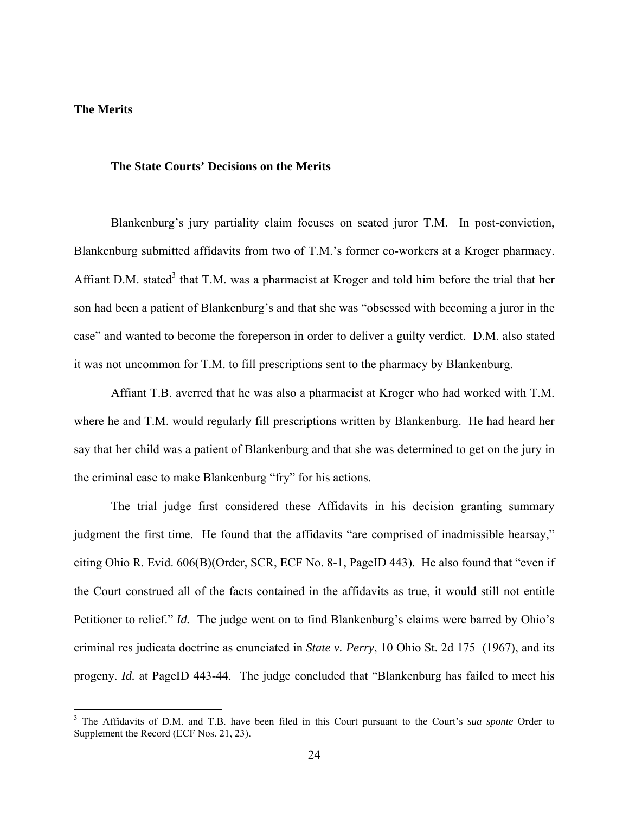## **The Merits**

<u>.</u>

#### **The State Courts' Decisions on the Merits**

Blankenburg's jury partiality claim focuses on seated juror T.M. In post-conviction, Blankenburg submitted affidavits from two of T.M.'s former co-workers at a Kroger pharmacy. Affiant D.M. stated<sup>3</sup> that T.M. was a pharmacist at Kroger and told him before the trial that her son had been a patient of Blankenburg's and that she was "obsessed with becoming a juror in the case" and wanted to become the foreperson in order to deliver a guilty verdict. D.M. also stated it was not uncommon for T.M. to fill prescriptions sent to the pharmacy by Blankenburg.

 Affiant T.B. averred that he was also a pharmacist at Kroger who had worked with T.M. where he and T.M. would regularly fill prescriptions written by Blankenburg. He had heard her say that her child was a patient of Blankenburg and that she was determined to get on the jury in the criminal case to make Blankenburg "fry" for his actions.

 The trial judge first considered these Affidavits in his decision granting summary judgment the first time. He found that the affidavits "are comprised of inadmissible hearsay," citing Ohio R. Evid. 606(B)(Order, SCR, ECF No. 8-1, PageID 443). He also found that "even if the Court construed all of the facts contained in the affidavits as true, it would still not entitle Petitioner to relief." *Id.* The judge went on to find Blankenburg's claims were barred by Ohio's criminal res judicata doctrine as enunciated in *State v. Perry*, 10 Ohio St. 2d 175 (1967), and its progeny. *Id.* at PageID 443-44. The judge concluded that "Blankenburg has failed to meet his

<sup>&</sup>lt;sup>3</sup> The Affidavits of D.M. and T.B. have been filed in this Court pursuant to the Court's *sua sponte* Order to Supplement the Record (ECF Nos. 21, 23).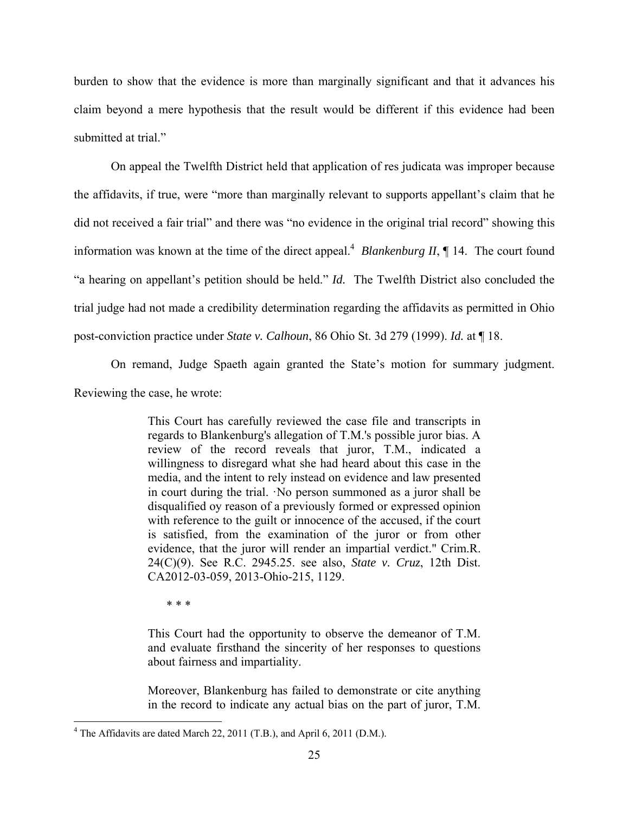burden to show that the evidence is more than marginally significant and that it advances his claim beyond a mere hypothesis that the result would be different if this evidence had been submitted at trial."

 On appeal the Twelfth District held that application of res judicata was improper because the affidavits, if true, were "more than marginally relevant to supports appellant's claim that he did not received a fair trial" and there was "no evidence in the original trial record" showing this information was known at the time of the direct appeal.<sup>4</sup> *Blankenburg II*,  $\P$  14. The court found "a hearing on appellant's petition should be held." *Id.* The Twelfth District also concluded the trial judge had not made a credibility determination regarding the affidavits as permitted in Ohio post-conviction practice under *State v. Calhoun*, 86 Ohio St. 3d 279 (1999). *Id.* at ¶ 18.

 On remand, Judge Spaeth again granted the State's motion for summary judgment. Reviewing the case, he wrote:

> This Court has carefully reviewed the case file and transcripts in regards to Blankenburg's allegation of T.M.'s possible juror bias. A review of the record reveals that juror, T.M., indicated a willingness to disregard what she had heard about this case in the media, and the intent to rely instead on evidence and law presented in court during the trial. ·No person summoned as a juror shall be disqualified oy reason of a previously formed or expressed opinion with reference to the guilt or innocence of the accused, if the court is satisfied, from the examination of the juror or from other evidence, that the juror will render an impartial verdict." Crim.R. 24(C)(9). See R.C. 2945.25. see also, *State v. Cruz*, 12th Dist. CA2012-03-059, 2013-Ohio-215, 1129.

\* \* \*

-

This Court had the opportunity to observe the demeanor of T.M. and evaluate firsthand the sincerity of her responses to questions about fairness and impartiality.

Moreover, Blankenburg has failed to demonstrate or cite anything in the record to indicate any actual bias on the part of juror, T.M.

 $4$  The Affidavits are dated March 22, 2011 (T.B.), and April 6, 2011 (D.M.).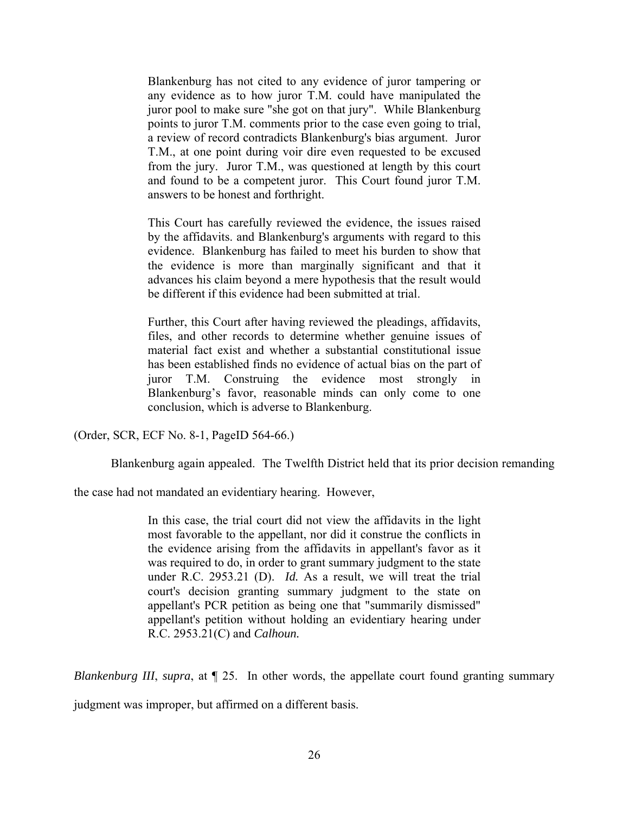Blankenburg has not cited to any evidence of juror tampering or any evidence as to how juror T.M. could have manipulated the juror pool to make sure "she got on that jury". While Blankenburg points to juror T.M. comments prior to the case even going to trial, a review of record contradicts Blankenburg's bias argument. Juror T.M., at one point during voir dire even requested to be excused from the jury. Juror T.M., was questioned at length by this court and found to be a competent juror. This Court found juror T.M. answers to be honest and forthright.

This Court has carefully reviewed the evidence, the issues raised by the affidavits. and Blankenburg's arguments with regard to this evidence. Blankenburg has failed to meet his burden to show that the evidence is more than marginally significant and that it advances his claim beyond a mere hypothesis that the result would be different if this evidence had been submitted at trial.

Further, this Court after having reviewed the pleadings, affidavits, files, and other records to determine whether genuine issues of material fact exist and whether a substantial constitutional issue has been established finds no evidence of actual bias on the part of juror T.M. Construing the evidence most strongly in Blankenburg's favor, reasonable minds can only come to one conclusion, which is adverse to Blankenburg.

(Order, SCR, ECF No. 8-1, PageID 564-66.)

Blankenburg again appealed. The Twelfth District held that its prior decision remanding

the case had not mandated an evidentiary hearing. However,

In this case, the trial court did not view the affidavits in the light most favorable to the appellant, nor did it construe the conflicts in the evidence arising from the affidavits in appellant's favor as it was required to do, in order to grant summary judgment to the state under R.C. 2953.21 (D). *Id.* As a result, we will treat the trial court's decision granting summary judgment to the state on appellant's PCR petition as being one that "summarily dismissed" appellant's petition without holding an evidentiary hearing under R.C. 2953.21(C) and *Calhoun.*

*Blankenburg III, supra, at*  $\llbracket 25$ . In other words, the appellate court found granting summary

judgment was improper, but affirmed on a different basis.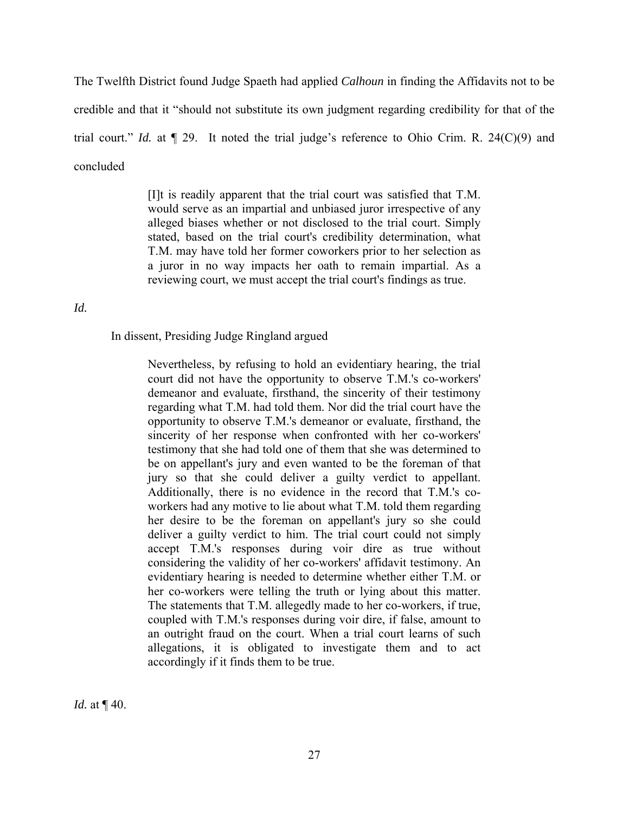The Twelfth District found Judge Spaeth had applied *Calhoun* in finding the Affidavits not to be credible and that it "should not substitute its own judgment regarding credibility for that of the trial court." *Id.* at ¶ 29. It noted the trial judge's reference to Ohio Crim. R. 24(C)(9) and concluded

> [I]t is readily apparent that the trial court was satisfied that T.M. would serve as an impartial and unbiased juror irrespective of any alleged biases whether or not disclosed to the trial court. Simply stated, based on the trial court's credibility determination, what T.M. may have told her former coworkers prior to her selection as a juror in no way impacts her oath to remain impartial. As a reviewing court, we must accept the trial court's findings as true.

#### *Id.*

In dissent, Presiding Judge Ringland argued

Nevertheless, by refusing to hold an evidentiary hearing, the trial court did not have the opportunity to observe T.M.'s co-workers' demeanor and evaluate, firsthand, the sincerity of their testimony regarding what T.M. had told them. Nor did the trial court have the opportunity to observe T.M.'s demeanor or evaluate, firsthand, the sincerity of her response when confronted with her co-workers' testimony that she had told one of them that she was determined to be on appellant's jury and even wanted to be the foreman of that jury so that she could deliver a guilty verdict to appellant. Additionally, there is no evidence in the record that T.M.'s coworkers had any motive to lie about what T.M. told them regarding her desire to be the foreman on appellant's jury so she could deliver a guilty verdict to him. The trial court could not simply accept T.M.'s responses during voir dire as true without considering the validity of her co-workers' affidavit testimony. An evidentiary hearing is needed to determine whether either T.M. or her co-workers were telling the truth or lying about this matter. The statements that T.M. allegedly made to her co-workers, if true, coupled with T.M.'s responses during voir dire, if false, amount to an outright fraud on the court. When a trial court learns of such allegations, it is obligated to investigate them and to act accordingly if it finds them to be true.

*Id.* at  $\P$  40.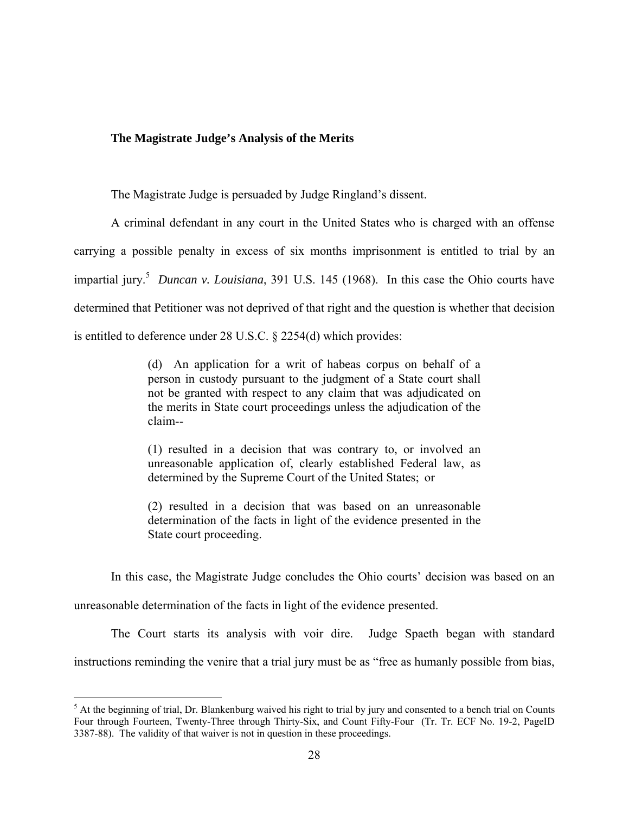#### **The Magistrate Judge's Analysis of the Merits**

The Magistrate Judge is persuaded by Judge Ringland's dissent.

A criminal defendant in any court in the United States who is charged with an offense carrying a possible penalty in excess of six months imprisonment is entitled to trial by an impartial jury.<sup>5</sup> *Duncan v. Louisiana*, 391 U.S. 145 (1968). In this case the Ohio courts have determined that Petitioner was not deprived of that right and the question is whether that decision is entitled to deference under 28 U.S.C. § 2254(d) which provides:

> (d) An application for a writ of habeas corpus on behalf of a person in custody pursuant to the judgment of a State court shall not be granted with respect to any claim that was adjudicated on the merits in State court proceedings unless the adjudication of the claim--

> (1) resulted in a decision that was contrary to, or involved an unreasonable application of, clearly established Federal law, as determined by the Supreme Court of the United States; or

> (2) resulted in a decision that was based on an unreasonable determination of the facts in light of the evidence presented in the State court proceeding.

 In this case, the Magistrate Judge concludes the Ohio courts' decision was based on an unreasonable determination of the facts in light of the evidence presented.

 The Court starts its analysis with voir dire. Judge Spaeth began with standard instructions reminding the venire that a trial jury must be as "free as humanly possible from bias,

<sup>&</sup>lt;sup>5</sup> At the beginning of trial, Dr. Blankenburg waived his right to trial by jury and consented to a bench trial on Counts Four through Fourteen, Twenty-Three through Thirty-Six, and Count Fifty-Four (Tr. Tr. ECF No. 19-2, PageID 3387-88). The validity of that waiver is not in question in these proceedings.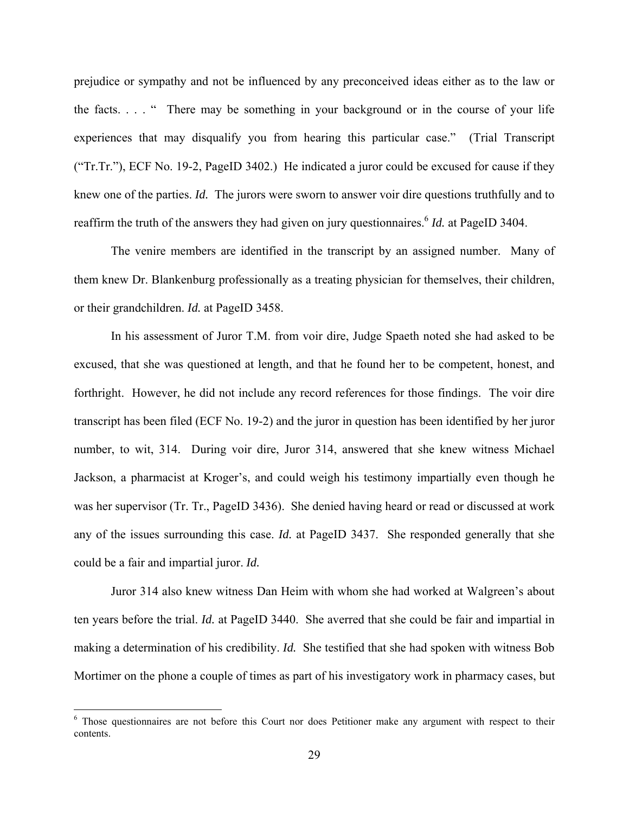prejudice or sympathy and not be influenced by any preconceived ideas either as to the law or the facts. . . . " There may be something in your background or in the course of your life experiences that may disqualify you from hearing this particular case." (Trial Transcript ("Tr.Tr."), ECF No. 19-2, PageID 3402.) He indicated a juror could be excused for cause if they knew one of the parties. *Id.* The jurors were sworn to answer voir dire questions truthfully and to reaffirm the truth of the answers they had given on jury questionnaires.<sup>6</sup> *Id.* at PageID 3404.

 The venire members are identified in the transcript by an assigned number. Many of them knew Dr. Blankenburg professionally as a treating physician for themselves, their children, or their grandchildren. *Id.* at PageID 3458.

 In his assessment of Juror T.M. from voir dire, Judge Spaeth noted she had asked to be excused, that she was questioned at length, and that he found her to be competent, honest, and forthright. However, he did not include any record references for those findings. The voir dire transcript has been filed (ECF No. 19-2) and the juror in question has been identified by her juror number, to wit, 314. During voir dire, Juror 314, answered that she knew witness Michael Jackson, a pharmacist at Kroger's, and could weigh his testimony impartially even though he was her supervisor (Tr. Tr., PageID 3436). She denied having heard or read or discussed at work any of the issues surrounding this case. *Id.* at PageID 3437. She responded generally that she could be a fair and impartial juror. *Id.* 

 Juror 314 also knew witness Dan Heim with whom she had worked at Walgreen's about ten years before the trial. *Id.* at PageID 3440. She averred that she could be fair and impartial in making a determination of his credibility. *Id.* She testified that she had spoken with witness Bob Mortimer on the phone a couple of times as part of his investigatory work in pharmacy cases, but

 $\overline{a}$ 

<sup>&</sup>lt;sup>6</sup> Those questionnaires are not before this Court nor does Petitioner make any argument with respect to their contents.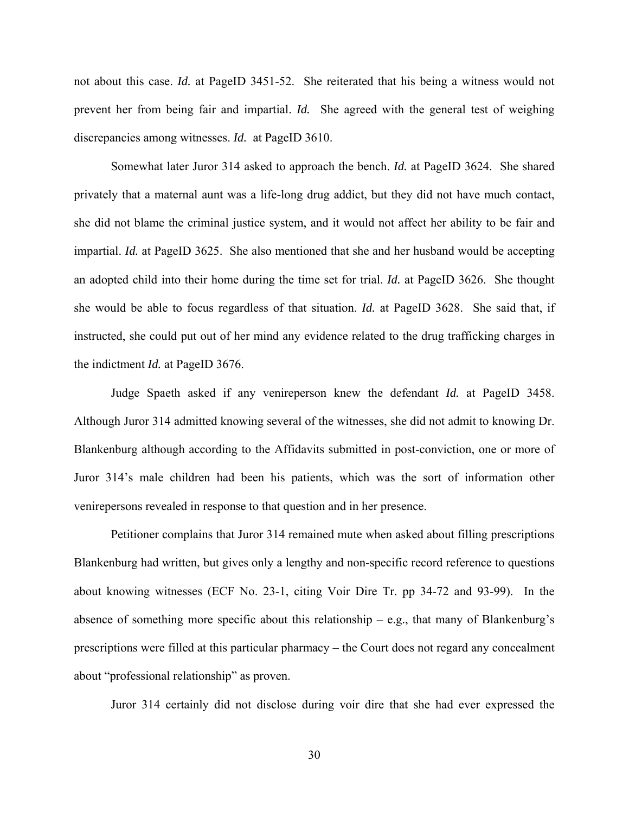not about this case. *Id.* at PageID 3451-52. She reiterated that his being a witness would not prevent her from being fair and impartial. *Id.* She agreed with the general test of weighing discrepancies among witnesses. *Id.* at PageID 3610.

 Somewhat later Juror 314 asked to approach the bench. *Id.* at PageID 3624. She shared privately that a maternal aunt was a life-long drug addict, but they did not have much contact, she did not blame the criminal justice system, and it would not affect her ability to be fair and impartial. *Id.* at PageID 3625. She also mentioned that she and her husband would be accepting an adopted child into their home during the time set for trial. *Id.* at PageID 3626. She thought she would be able to focus regardless of that situation. *Id.* at PageID 3628. She said that, if instructed, she could put out of her mind any evidence related to the drug trafficking charges in the indictment *Id.* at PageID 3676.

Judge Spaeth asked if any venireperson knew the defendant *Id.* at PageID 3458. Although Juror 314 admitted knowing several of the witnesses, she did not admit to knowing Dr. Blankenburg although according to the Affidavits submitted in post-conviction, one or more of Juror 314's male children had been his patients, which was the sort of information other venirepersons revealed in response to that question and in her presence.

Petitioner complains that Juror 314 remained mute when asked about filling prescriptions Blankenburg had written, but gives only a lengthy and non-specific record reference to questions about knowing witnesses (ECF No. 23-1, citing Voir Dire Tr. pp 34-72 and 93-99). In the absence of something more specific about this relationship  $-$  e.g., that many of Blankenburg's prescriptions were filled at this particular pharmacy – the Court does not regard any concealment about "professional relationship" as proven.

Juror 314 certainly did not disclose during voir dire that she had ever expressed the

30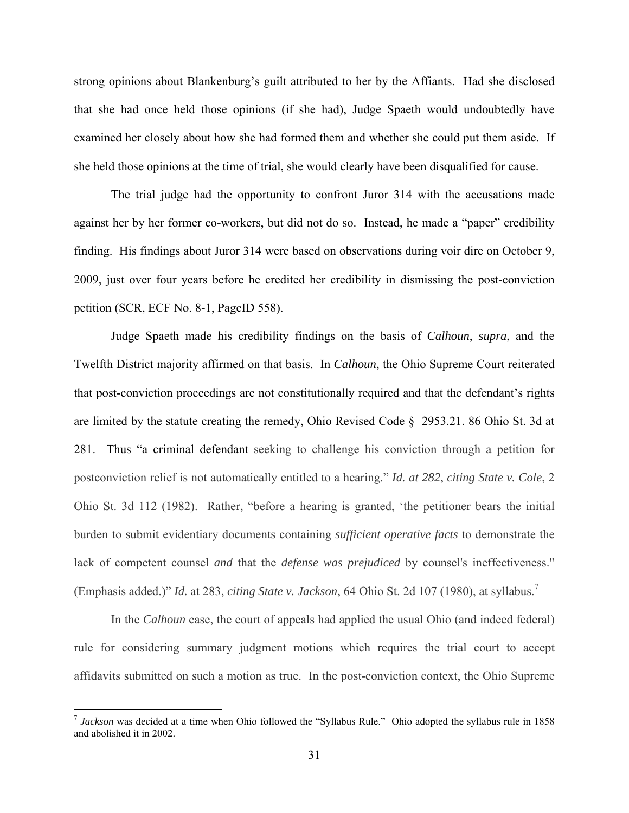strong opinions about Blankenburg's guilt attributed to her by the Affiants. Had she disclosed that she had once held those opinions (if she had), Judge Spaeth would undoubtedly have examined her closely about how she had formed them and whether she could put them aside. If she held those opinions at the time of trial, she would clearly have been disqualified for cause.

The trial judge had the opportunity to confront Juror 314 with the accusations made against her by her former co-workers, but did not do so. Instead, he made a "paper" credibility finding. His findings about Juror 314 were based on observations during voir dire on October 9, 2009, just over four years before he credited her credibility in dismissing the post-conviction petition (SCR, ECF No. 8-1, PageID 558).

Judge Spaeth made his credibility findings on the basis of *Calhoun*, *supra*, and the Twelfth District majority affirmed on that basis. In *Calhoun*, the Ohio Supreme Court reiterated that post-conviction proceedings are not constitutionally required and that the defendant's rights are limited by the statute creating the remedy, Ohio Revised Code § 2953.21. 86 Ohio St. 3d at 281. Thus "a criminal defendant seeking to challenge his conviction through a petition for postconviction relief is not automatically entitled to a hearing." *Id. at 282*, *citing State v. Cole*, 2 Ohio St. 3d 112 (1982). Rather, "before a hearing is granted, 'the petitioner bears the initial burden to submit evidentiary documents containing *sufficient operative facts* to demonstrate the lack of competent counsel *and* that the *defense was prejudiced* by counsel's ineffectiveness." (Emphasis added.)" *Id.* at 283, *citing State v. Jackson*, 64 Ohio St. 2d 107 (1980), at syllabus.<sup>7</sup>

In the *Calhoun* case, the court of appeals had applied the usual Ohio (and indeed federal) rule for considering summary judgment motions which requires the trial court to accept affidavits submitted on such a motion as true. In the post-conviction context, the Ohio Supreme

 $\overline{a}$ 

<sup>7</sup> *Jackson* was decided at a time when Ohio followed the "Syllabus Rule." Ohio adopted the syllabus rule in 1858 and abolished it in 2002.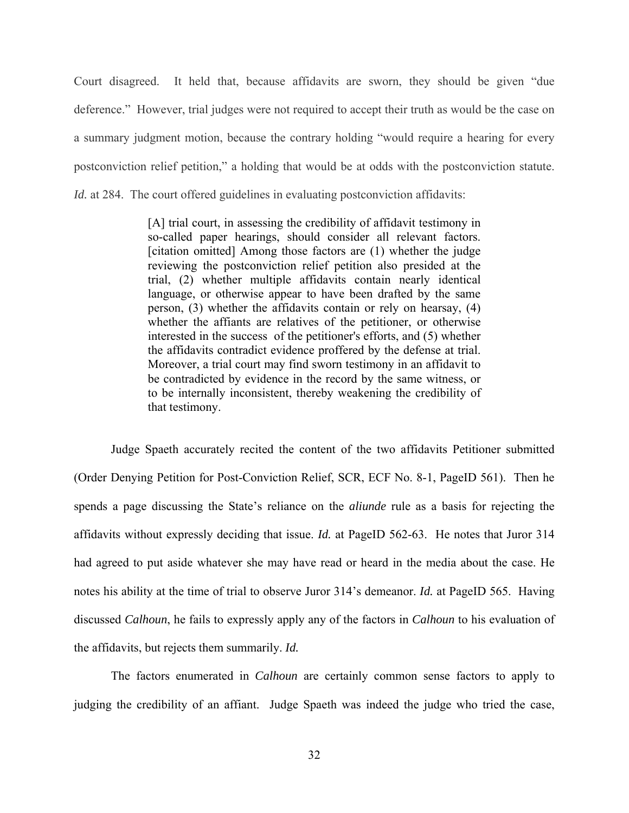Court disagreed. It held that, because affidavits are sworn, they should be given "due deference." However, trial judges were not required to accept their truth as would be the case on a summary judgment motion, because the contrary holding "would require a hearing for every postconviction relief petition," a holding that would be at odds with the postconviction statute. *Id.* at 284. The court offered guidelines in evaluating postconviction affidavits:

> [A] trial court, in assessing the credibility of affidavit testimony in so-called paper hearings, should consider all relevant factors. [citation omitted] Among those factors are (1) whether the judge reviewing the postconviction relief petition also presided at the trial, (2) whether multiple affidavits contain nearly identical language, or otherwise appear to have been drafted by the same person, (3) whether the affidavits contain or rely on hearsay, (4) whether the affiants are relatives of the petitioner, or otherwise interested in the success of the petitioner's efforts, and (5) whether the affidavits contradict evidence proffered by the defense at trial. Moreover, a trial court may find sworn testimony in an affidavit to be contradicted by evidence in the record by the same witness, or to be internally inconsistent, thereby weakening the credibility of that testimony.

 Judge Spaeth accurately recited the content of the two affidavits Petitioner submitted (Order Denying Petition for Post-Conviction Relief, SCR, ECF No. 8-1, PageID 561). Then he spends a page discussing the State's reliance on the *aliunde* rule as a basis for rejecting the affidavits without expressly deciding that issue. *Id.* at PageID 562-63. He notes that Juror 314 had agreed to put aside whatever she may have read or heard in the media about the case. He notes his ability at the time of trial to observe Juror 314's demeanor. *Id.* at PageID 565. Having discussed *Calhoun*, he fails to expressly apply any of the factors in *Calhoun* to his evaluation of the affidavits, but rejects them summarily. *Id.* 

 The factors enumerated in *Calhoun* are certainly common sense factors to apply to judging the credibility of an affiant. Judge Spaeth was indeed the judge who tried the case,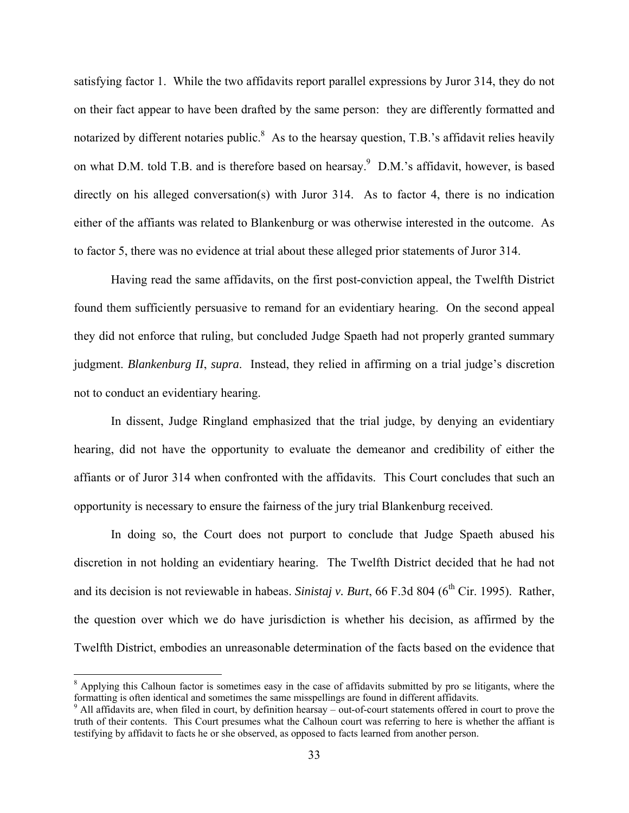satisfying factor 1. While the two affidavits report parallel expressions by Juror 314, they do not on their fact appear to have been drafted by the same person: they are differently formatted and notarized by different notaries public.<sup>8</sup> As to the hearsay question, T.B.'s affidavit relies heavily on what D.M. told T.B. and is therefore based on hearsay.<sup>9</sup> D.M.'s affidavit, however, is based directly on his alleged conversation(s) with Juror 314. As to factor 4, there is no indication either of the affiants was related to Blankenburg or was otherwise interested in the outcome. As to factor 5, there was no evidence at trial about these alleged prior statements of Juror 314.

Having read the same affidavits, on the first post-conviction appeal, the Twelfth District found them sufficiently persuasive to remand for an evidentiary hearing. On the second appeal they did not enforce that ruling, but concluded Judge Spaeth had not properly granted summary judgment. *Blankenburg II*, *supra*. Instead, they relied in affirming on a trial judge's discretion not to conduct an evidentiary hearing.

In dissent, Judge Ringland emphasized that the trial judge, by denying an evidentiary hearing, did not have the opportunity to evaluate the demeanor and credibility of either the affiants or of Juror 314 when confronted with the affidavits. This Court concludes that such an opportunity is necessary to ensure the fairness of the jury trial Blankenburg received.

In doing so, the Court does not purport to conclude that Judge Spaeth abused his discretion in not holding an evidentiary hearing. The Twelfth District decided that he had not and its decision is not reviewable in habeas. *Sinistaj v. Burt*, 66 F.3d 804 (6<sup>th</sup> Cir. 1995). Rather, the question over which we do have jurisdiction is whether his decision, as affirmed by the Twelfth District, embodies an unreasonable determination of the facts based on the evidence that

<u>.</u>

<sup>&</sup>lt;sup>8</sup> Applying this Calhoun factor is sometimes easy in the case of affidavits submitted by pro se litigants, where the formatting is often identical and sometimes the same misspellings are found in different affidavits.

<sup>&</sup>lt;sup>9</sup> All affidavits are, when filed in court, by definition hearsay – out-of-court statements offered in court to prove the truth of their contents. This Court presumes what the Calhoun court was referring to here is whether the affiant is testifying by affidavit to facts he or she observed, as opposed to facts learned from another person.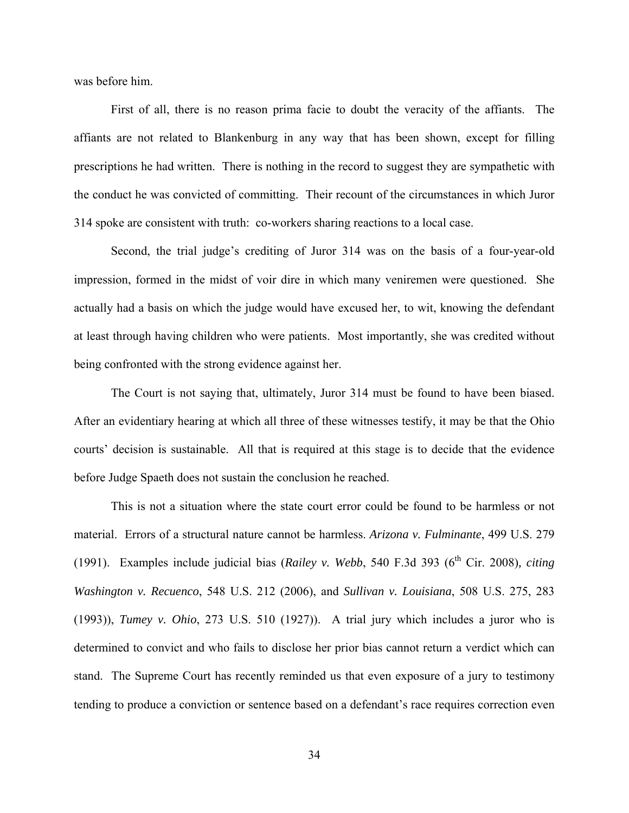was before him.

First of all, there is no reason prima facie to doubt the veracity of the affiants. The affiants are not related to Blankenburg in any way that has been shown, except for filling prescriptions he had written. There is nothing in the record to suggest they are sympathetic with the conduct he was convicted of committing. Their recount of the circumstances in which Juror 314 spoke are consistent with truth: co-workers sharing reactions to a local case.

Second, the trial judge's crediting of Juror 314 was on the basis of a four-year-old impression, formed in the midst of voir dire in which many veniremen were questioned. She actually had a basis on which the judge would have excused her, to wit, knowing the defendant at least through having children who were patients. Most importantly, she was credited without being confronted with the strong evidence against her.

The Court is not saying that, ultimately, Juror 314 must be found to have been biased. After an evidentiary hearing at which all three of these witnesses testify, it may be that the Ohio courts' decision is sustainable. All that is required at this stage is to decide that the evidence before Judge Spaeth does not sustain the conclusion he reached.

This is not a situation where the state court error could be found to be harmless or not material. Errors of a structural nature cannot be harmless. *Arizona v. Fulminante*, 499 U.S. 279 (1991). Examples include judicial bias (*Railey v. Webb*, 540 F.3d 393 (6<sup>th</sup> Cir. 2008)*, citing Washington v. Recuenco*, 548 U.S. 212 (2006), and *Sullivan v. Louisiana*, 508 U.S. 275, 283 (1993)), *Tumey v. Ohio*, 273 U.S. 510 (1927)). A trial jury which includes a juror who is determined to convict and who fails to disclose her prior bias cannot return a verdict which can stand. The Supreme Court has recently reminded us that even exposure of a jury to testimony tending to produce a conviction or sentence based on a defendant's race requires correction even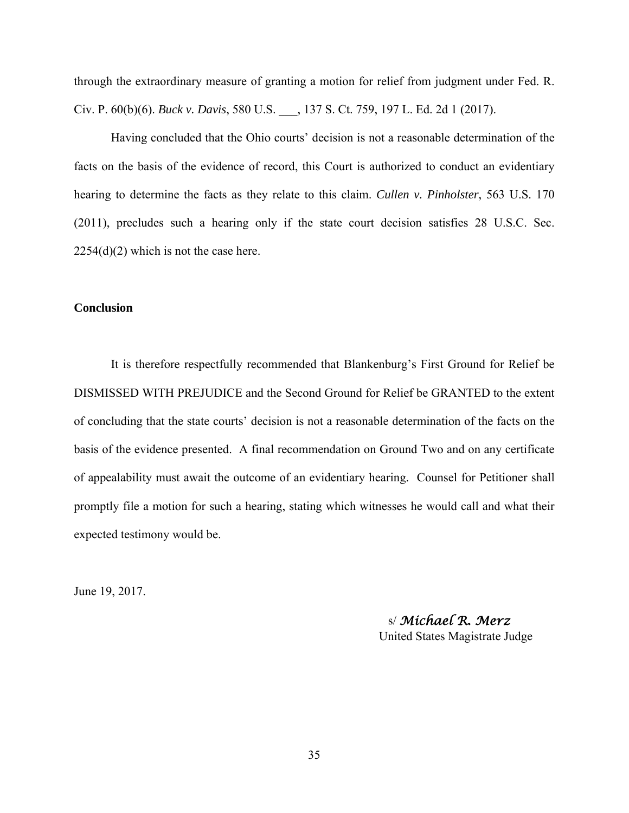through the extraordinary measure of granting a motion for relief from judgment under Fed. R. Civ. P. 60(b)(6). *Buck v. Davis*, 580 U.S. \_\_\_, 137 S. Ct. 759, 197 L. Ed. 2d 1 (2017).

Having concluded that the Ohio courts' decision is not a reasonable determination of the facts on the basis of the evidence of record, this Court is authorized to conduct an evidentiary hearing to determine the facts as they relate to this claim. *Cullen v. Pinholster*, 563 U.S. 170 (2011), precludes such a hearing only if the state court decision satisfies 28 U.S.C. Sec.  $2254(d)(2)$  which is not the case here.

#### **Conclusion**

 It is therefore respectfully recommended that Blankenburg's First Ground for Relief be DISMISSED WITH PREJUDICE and the Second Ground for Relief be GRANTED to the extent of concluding that the state courts' decision is not a reasonable determination of the facts on the basis of the evidence presented. A final recommendation on Ground Two and on any certificate of appealability must await the outcome of an evidentiary hearing. Counsel for Petitioner shall promptly file a motion for such a hearing, stating which witnesses he would call and what their expected testimony would be.

June 19, 2017.

 s/ *Michael R. Merz* United States Magistrate Judge